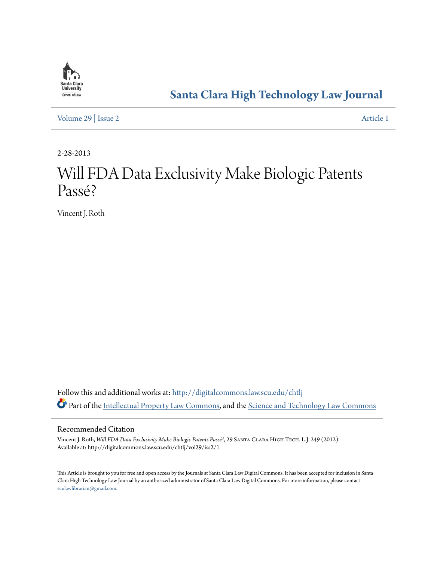

# **[Santa Clara High Technology Law Journal](http://digitalcommons.law.scu.edu/chtlj?utm_source=digitalcommons.law.scu.edu%2Fchtlj%2Fvol29%2Fiss2%2F1&utm_medium=PDF&utm_campaign=PDFCoverPages)**

[Volume 29](http://digitalcommons.law.scu.edu/chtlj/vol29?utm_source=digitalcommons.law.scu.edu%2Fchtlj%2Fvol29%2Fiss2%2F1&utm_medium=PDF&utm_campaign=PDFCoverPages) | [Issue 2](http://digitalcommons.law.scu.edu/chtlj/vol29/iss2?utm_source=digitalcommons.law.scu.edu%2Fchtlj%2Fvol29%2Fiss2%2F1&utm_medium=PDF&utm_campaign=PDFCoverPages) [Article 1](http://digitalcommons.law.scu.edu/chtlj/vol29/iss2/1?utm_source=digitalcommons.law.scu.edu%2Fchtlj%2Fvol29%2Fiss2%2F1&utm_medium=PDF&utm_campaign=PDFCoverPages)

2-28-2013

# Will FDA Data Exclusivity Make Biologic Patents Passé?

Vincent J. Roth

Follow this and additional works at: [http://digitalcommons.law.scu.edu/chtlj](http://digitalcommons.law.scu.edu/chtlj?utm_source=digitalcommons.law.scu.edu%2Fchtlj%2Fvol29%2Fiss2%2F1&utm_medium=PDF&utm_campaign=PDFCoverPages) Part of the [Intellectual Property Law Commons,](http://network.bepress.com/hgg/discipline/896?utm_source=digitalcommons.law.scu.edu%2Fchtlj%2Fvol29%2Fiss2%2F1&utm_medium=PDF&utm_campaign=PDFCoverPages) and the [Science and Technology Law Commons](http://network.bepress.com/hgg/discipline/875?utm_source=digitalcommons.law.scu.edu%2Fchtlj%2Fvol29%2Fiss2%2F1&utm_medium=PDF&utm_campaign=PDFCoverPages)

#### Recommended Citation

Vincent J. Roth, *Will FDA Data Exclusivity Make Biologic Patents Passé?*, 29 Santa Clara High Tech. L.J. 249 (2012). Available at: http://digitalcommons.law.scu.edu/chtlj/vol29/iss2/1

This Article is brought to you for free and open access by the Journals at Santa Clara Law Digital Commons. It has been accepted for inclusion in Santa Clara High Technology Law Journal by an authorized administrator of Santa Clara Law Digital Commons. For more information, please contact [sculawlibrarian@gmail.com](mailto:sculawlibrarian@gmail.com).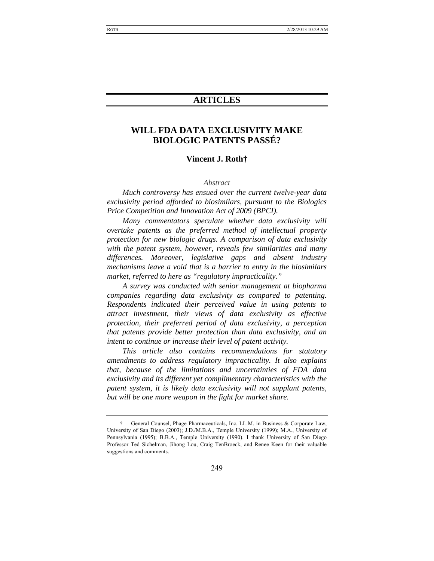# **ARTICLES**

# **WILL FDA DATA EXCLUSIVITY MAKE BIOLOGIC PATENTS PASSÉ?**

#### **Vincent J. Roth†**

#### *Abstract*

*Much controversy has ensued over the current twelve-year data exclusivity period afforded to biosimilars, pursuant to the Biologics Price Competition and Innovation Act of 2009 (BPCI).* 

*Many commentators speculate whether data exclusivity will overtake patents as the preferred method of intellectual property protection for new biologic drugs. A comparison of data exclusivity with the patent system, however, reveals few similarities and many differences. Moreover, legislative gaps and absent industry mechanisms leave a void that is a barrier to entry in the biosimilars market, referred to here as "regulatory impracticality."* 

*A survey was conducted with senior management at biopharma companies regarding data exclusivity as compared to patenting. Respondents indicated their perceived value in using patents to attract investment, their views of data exclusivity as effective protection, their preferred period of data exclusivity, a perception that patents provide better protection than data exclusivity, and an intent to continue or increase their level of patent activity.* 

*This article also contains recommendations for statutory amendments to address regulatory impracticality. It also explains that, because of the limitations and uncertainties of FDA data exclusivity and its different yet complimentary characteristics with the patent system, it is likely data exclusivity will not supplant patents, but will be one more weapon in the fight for market share.* 

 <sup>†</sup> General Counsel, Phage Pharmaceuticals, Inc. LL.M. in Business & Corporate Law, University of San Diego (2003); J.D./M.B.A., Temple University (1999); M.A., University of Pennsylvania (1995); B.B.A., Temple University (1990). I thank University of San Diego Professor Ted Sichelman, Jihong Lou, Craig TenBroeck, and Renee Keen for their valuable suggestions and comments.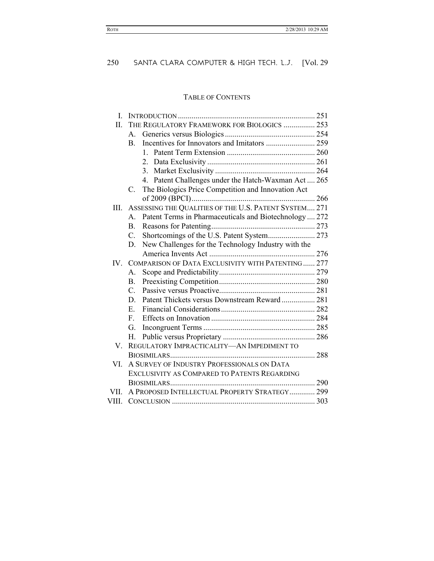# TABLE OF CONTENTS

| L     |                                                                        |  |  |
|-------|------------------------------------------------------------------------|--|--|
| П.    | THE REGULATORY FRAMEWORK FOR BIOLOGICS  253                            |  |  |
|       | $A_{-}$                                                                |  |  |
|       | <b>B</b> .                                                             |  |  |
|       | $\mathbf{1}$                                                           |  |  |
|       |                                                                        |  |  |
|       |                                                                        |  |  |
|       | 4. Patent Challenges under the Hatch-Waxman Act  265                   |  |  |
|       | The Biologics Price Competition and Innovation Act<br>$C_{\cdot}$      |  |  |
|       |                                                                        |  |  |
| III.  | ASSESSING THE QUALITIES OF THE U.S. PATENT SYSTEM 271                  |  |  |
|       | Patent Terms in Pharmaceuticals and Biotechnology  272<br>$\mathsf{A}$ |  |  |
|       | B.                                                                     |  |  |
|       | Shortcomings of the U.S. Patent System 273<br>$C_{-}$                  |  |  |
|       | New Challenges for the Technology Industry with the<br>D.              |  |  |
|       |                                                                        |  |  |
| IV —  | COMPARISON OF DATA EXCLUSIVITY WITH PATENTING 277                      |  |  |
|       | $A_{-}$                                                                |  |  |
|       | B.                                                                     |  |  |
|       | $C_{\cdot}$                                                            |  |  |
|       | Patent Thickets versus Downstream Reward 281<br>D.                     |  |  |
|       | E.                                                                     |  |  |
|       | F                                                                      |  |  |
|       | G.                                                                     |  |  |
|       | Н.                                                                     |  |  |
| V.    | REGULATORY IMPRACTICALITY-AN IMPEDIMENT TO                             |  |  |
|       |                                                                        |  |  |
| VI.   | A SURVEY OF INDUSTRY PROFESSIONALS ON DATA                             |  |  |
|       | EXCLUSIVITY AS COMPARED TO PATENTS REGARDING                           |  |  |
|       |                                                                        |  |  |
| VII.  | A PROPOSED INTELLECTUAL PROPERTY STRATEGY 299                          |  |  |
| VIII. |                                                                        |  |  |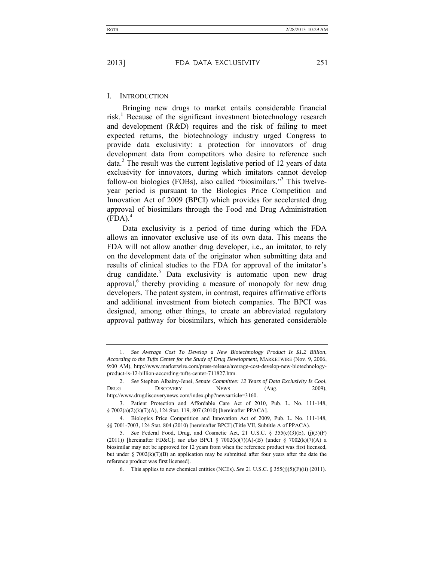#### I. INTRODUCTION

Bringing new drugs to market entails considerable financial risk.<sup>1</sup> Because of the significant investment biotechnology research and development (R&D) requires and the risk of failing to meet expected returns, the biotechnology industry urged Congress to provide data exclusivity: a protection for innovators of drug development data from competitors who desire to reference such data.<sup>2</sup> The result was the current legislative period of 12 years of data exclusivity for innovators, during which imitators cannot develop follow-on biologics (FOBs), also called "biosimilars."<sup>3</sup> This twelveyear period is pursuant to the Biologics Price Competition and Innovation Act of 2009 (BPCI) which provides for accelerated drug approval of biosimilars through the Food and Drug Administration  $(FDA).<sup>4</sup>$ 

Data exclusivity is a period of time during which the FDA allows an innovator exclusive use of its own data. This means the FDA will not allow another drug developer, i.e., an imitator, to rely on the development data of the originator when submitting data and results of clinical studies to the FDA for approval of the imitator's drug candidate.<sup>5</sup> Data exclusivity is automatic upon new drug approval,<sup>6</sup> thereby providing a measure of monopoly for new drug developers. The patent system, in contrast, requires affirmative efforts and additional investment from biotech companies. The BPCI was designed, among other things, to create an abbreviated regulatory approval pathway for biosimilars, which has generated considerable

 <sup>1.</sup> *See Average Cost To Develop a New Biotechnology Product Is \$1.2 Billion*, *According to the Tufts Center for the Study of Drug Development*, MARKETWIRE (Nov. 9, 2006, 9:00 AM), http://www.marketwire.com/press-release/average-cost-develop-new-biotechnologyproduct-is-12-billion-according-tufts-center-711827.htm.

 <sup>2.</sup> *See* Stephen Albainy-Jenei, *Senate Committee: 12 Years of Data Exclusivity Is Cool*, DRUG DISCOVERY NEWS (Aug. 2009), http://www.drugdiscoverynews.com/index.php?newsarticle=3160.

 <sup>3.</sup> Patient Protection and Affordable Care Act of 2010, Pub. L. No. 111-148, § 7002(a)(2)(k)(7)(A), 124 Stat. 119, 807 (2010) [hereinafter PPACA].

 <sup>4.</sup> Biologics Price Competition and Innovation Act of 2009, Pub. L. No. 111-148, §§ 7001-7003, 124 Stat. 804 (2010) [hereinafter BPCI] (Title VII, Subtitle A of PPACA).

 <sup>5.</sup> *See* Federal Food, Drug, and Cosmetic Act, 21 U.S.C. § 355(c)(3)(E), (j)(5)(F) (2011)) [hereinafter FD&C]; *see also* BPCI § 7002(k)(7)(A)-(B) (under § 7002(k)(7)(A) a biosimilar may not be approved for 12 years from when the reference product was first licensed, but under § 7002(k)(7)(B) an application may be submitted after four years after the date the reference product was first licensed).

 <sup>6.</sup> This applies to new chemical entities (NCEs). *See* 21 U.S.C. § 355(j)(5)(F)(ii) (2011).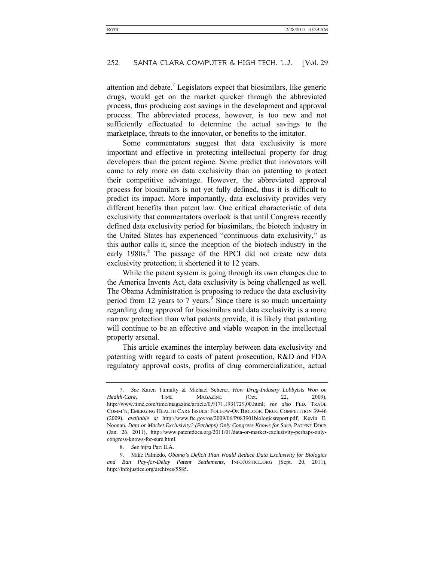attention and debate.<sup>7</sup> Legislators expect that biosimilars, like generic drugs, would get on the market quicker through the abbreviated process, thus producing cost savings in the development and approval process. The abbreviated process, however, is too new and not sufficiently effectuated to determine the actual savings to the marketplace, threats to the innovator, or benefits to the imitator.

Some commentators suggest that data exclusivity is more important and effective in protecting intellectual property for drug developers than the patent regime. Some predict that innovators will come to rely more on data exclusivity than on patenting to protect their competitive advantage. However, the abbreviated approval process for biosimilars is not yet fully defined, thus it is difficult to predict its impact. More importantly, data exclusivity provides very different benefits than patent law. One critical characteristic of data exclusivity that commentators overlook is that until Congress recently defined data exclusivity period for biosimilars, the biotech industry in the United States has experienced "continuous data exclusivity," as this author calls it, since the inception of the biotech industry in the early 1980s.<sup>8</sup> The passage of the BPCI did not create new data exclusivity protection; it shortened it to 12 years.

While the patent system is going through its own changes due to the America Invents Act, data exclusivity is being challenged as well. The Obama Administration is proposing to reduce the data exclusivity period from 12 years to 7 years. $\frac{9}{9}$  Since there is so much uncertainty regarding drug approval for biosimilars and data exclusivity is a more narrow protection than what patents provide, it is likely that patenting will continue to be an effective and viable weapon in the intellectual property arsenal.

This article examines the interplay between data exclusivity and patenting with regard to costs of patent prosecution, R&D and FDA regulatory approval costs, profits of drug commercialization, actual

8. *See infra* Part II.A.

 <sup>7.</sup> *See* Karen Tumulty & Michael Scherer, *How Drug-Industry Lobbyists Won on Health-Care*, TIME MAGAZINE (Oct. 22, 2009), http://www.time.com/time/magazine/article/0,9171,1931729,00.html; *see also* FED. TRADE COMM'N, EMERGING HEALTH CARE ISSUES: FOLLOW-ON BIOLOGIC DRUG COMPETITION 39-46 (2009), *available at* http://www.ftc.gov/os/2009/06/P083901biologicsreport.pdf; Kevin E. Noonan, *Data or Market Exclusivity? (Perhaps) Only Congress Knows for Sure*, PATENT DOCS (Jan. 26, 2011), http://www.patentdocs.org/2011/01/data-or-market-exclusivity-perhaps-onlycongress-knows-for-sure.html.

 <sup>9.</sup> Mike Palmedo, *Obama's Deficit Plan Would Reduce Data Exclusivity for Biologics and Ban Pay-for-Delay Patent Settlements*, INFOJUSTICE.ORG (Sept. 20, 2011), http://infojustice.org/archives/5585.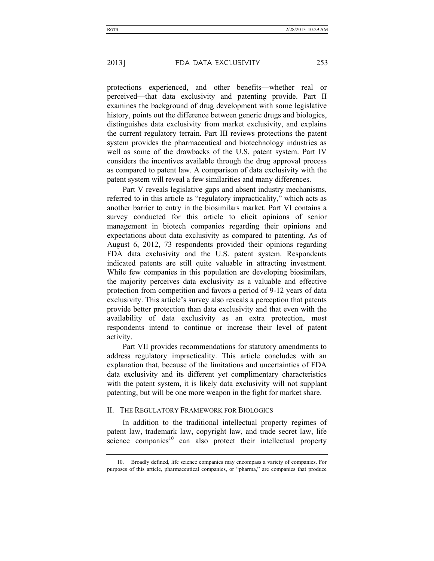protections experienced, and other benefits—whether real or perceived—that data exclusivity and patenting provide. Part II examines the background of drug development with some legislative history, points out the difference between generic drugs and biologics, distinguishes data exclusivity from market exclusivity, and explains the current regulatory terrain. Part III reviews protections the patent system provides the pharmaceutical and biotechnology industries as well as some of the drawbacks of the U.S. patent system. Part IV considers the incentives available through the drug approval process as compared to patent law. A comparison of data exclusivity with the patent system will reveal a few similarities and many differences.

Part V reveals legislative gaps and absent industry mechanisms, referred to in this article as "regulatory impracticality," which acts as another barrier to entry in the biosimilars market. Part VI contains a survey conducted for this article to elicit opinions of senior management in biotech companies regarding their opinions and expectations about data exclusivity as compared to patenting. As of August 6, 2012, 73 respondents provided their opinions regarding FDA data exclusivity and the U.S. patent system. Respondents indicated patents are still quite valuable in attracting investment. While few companies in this population are developing biosimilars, the majority perceives data exclusivity as a valuable and effective protection from competition and favors a period of 9-12 years of data exclusivity. This article's survey also reveals a perception that patents provide better protection than data exclusivity and that even with the availability of data exclusivity as an extra protection, most respondents intend to continue or increase their level of patent activity.

Part VII provides recommendations for statutory amendments to address regulatory impracticality. This article concludes with an explanation that, because of the limitations and uncertainties of FDA data exclusivity and its different yet complimentary characteristics with the patent system, it is likely data exclusivity will not supplant patenting, but will be one more weapon in the fight for market share.

# II. THE REGULATORY FRAMEWORK FOR BIOLOGICS

In addition to the traditional intellectual property regimes of patent law, trademark law, copyright law, and trade secret law, life science companies $10$  can also protect their intellectual property

 <sup>10.</sup> Broadly defined, life science companies may encompass a variety of companies. For purposes of this article, pharmaceutical companies, or "pharma," are companies that produce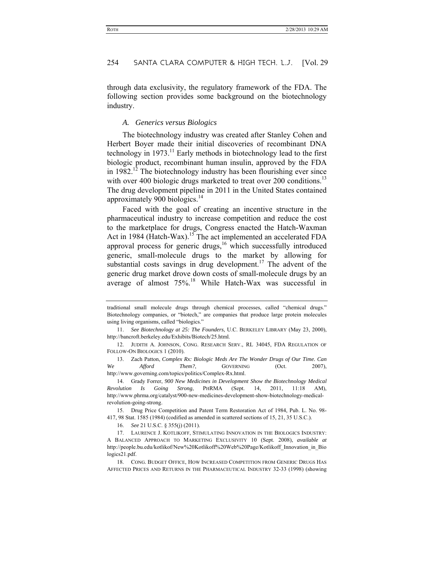through data exclusivity, the regulatory framework of the FDA. The following section provides some background on the biotechnology industry.

# *A. Generics versus Biologics*

The biotechnology industry was created after Stanley Cohen and Herbert Boyer made their initial discoveries of recombinant DNA technology in  $1973$ .<sup>11</sup> Early methods in biotechnology lead to the first biologic product, recombinant human insulin, approved by the FDA in  $1982$ <sup>12</sup> The biotechnology industry has been flourishing ever since with over 400 biologic drugs marketed to treat over 200 conditions.<sup>13</sup> The drug development pipeline in 2011 in the United States contained approximately 900 biologics. $14$ 

Faced with the goal of creating an incentive structure in the pharmaceutical industry to increase competition and reduce the cost to the marketplace for drugs, Congress enacted the Hatch-Waxman Act in 1984 (Hatch-Wax).<sup>15</sup> The act implemented an accelerated FDA approval process for generic drugs,<sup>16</sup> which successfully introduced generic, small-molecule drugs to the market by allowing for substantial costs savings in drug development.<sup>17</sup> The advent of the generic drug market drove down costs of small-molecule drugs by an average of almost  $75\%$ .<sup>18</sup> While Hatch-Wax was successful in

 13. Zach Patton, *Complex Rx: Biologic Meds Are The Wonder Drugs of Our Time. Can We Afford Them?*, GOVERNING (Oct. 2007), http://www.governing.com/topics/politics/Complex-Rx.html.

 14. Grady Forrer, *900 New Medicines in Development Show the Biotechnology Medical Revolution Is Going Strong*, PHRMA (Sept. 14, 2011, 11:18 AM), http://www.phrma.org/catalyst/900-new-medicines-development-show-biotechnology-medicalrevolution-going-strong.

 15. Drug Price Competition and Patent Term Restoration Act of 1984, Pub. L. No. 98- 417, 98 Stat. 1585 (1984) (codified as amended in scattered sections of 15, 21, 35 U.S.C.).

16. *See* 21 U.S.C. § 355(j) (2011).

 18. CONG. BUDGET OFFICE, HOW INCREASED COMPETITION FROM GENERIC DRUGS HAS AFFECTED PRICES AND RETURNS IN THE PHARMACEUTICAL INDUSTRY 32-33 (1998) (showing

traditional small molecule drugs through chemical processes, called "chemical drugs." Biotechnology companies, or "biotech," are companies that produce large protein molecules using living organisms, called "biologics."

 <sup>11.</sup> *See Biotechnology at 25: The Founders*, U.C. BERKELEY LIBRARY (May 23, 2000), http://bancroft.berkeley.edu/Exhibits/Biotech/25.html.

 <sup>12.</sup> JUDITH A. JOHNSON, CONG. RESEARCH SERV., RL 34045, FDA REGULATION OF FOLLOW-ON BIOLOGICS 1 (2010).

 <sup>17.</sup> LAURENCE J. KOTLIKOFF, STIMULATING INNOVATION IN THE BIOLOGICS INDUSTRY: A BALANCED APPROACH TO MARKETING EXCLUSIVITY 10 (Sept. 2008), *available at* http://people.bu.edu/kotlikof/New%20Kotlikoff%20Web%20Page/Kotlikoff\_Innovation\_in\_Bio logics21.pdf.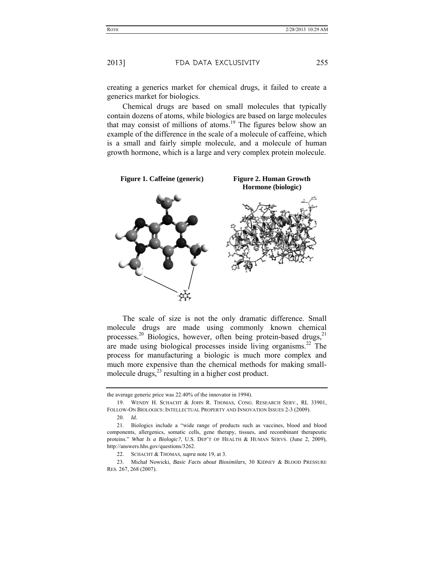creating a generics market for chemical drugs, it failed to create a generics market for biologics.

Chemical drugs are based on small molecules that typically contain dozens of atoms, while biologics are based on large molecules that may consist of millions of atoms.<sup>19</sup> The figures below show an example of the difference in the scale of a molecule of caffeine, which is a small and fairly simple molecule, and a molecule of human growth hormone, which is a large and very complex protein molecule.



The scale of size is not the only dramatic difference. Small molecule drugs are made using commonly known chemical processes.<sup>20</sup> Biologics, however, often being protein-based drugs,<sup>21</sup> are made using biological processes inside living organisms. $^{22}$  The process for manufacturing a biologic is much more complex and much more expensive than the chemical methods for making smallmolecule drugs, $^{23}$  resulting in a higher cost product.

the average generic price was 22.40% of the innovator in 1994).

 <sup>19.</sup> WENDY H. SCHACHT & JOHN R. THOMAS, CONG. RESEARCH SERV., RL 33901, FOLLOW-ON BIOLOGICS: INTELLECTUAL PROPERTY AND INNOVATION ISSUES 2-3 (2009).

 <sup>20.</sup> *Id.*

 <sup>21.</sup> Biologics include a "wide range of products such as vaccines, blood and blood components, allergenics, somatic cells, gene therapy, tissues, and recombinant therapeutic proteins." *What Is a Biologic?*, U.S. DEP'T OF HEALTH & HUMAN SERVS. (June 2, 2009), http://answers.hhs.gov/questions/3262.

 <sup>22.</sup> SCHACHT & THOMAS, *supra* note 19, at 3.

 <sup>23.</sup> Michał Nowicki, *Basic Facts about Biosimilars*, 30 KIDNEY & BLOOD PRESSURE RES. 267, 268 (2007).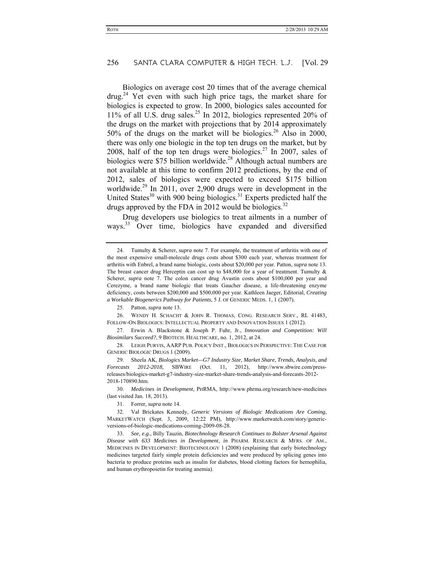Biologics on average cost 20 times that of the average chemical  $d\text{rug.}^{24}$  Yet even with such high price tags, the market share for biologics is expected to grow. In 2000, biologics sales accounted for  $11\%$  of all U.S. drug sales.<sup>25</sup> In 2012, biologics represented 20% of the drugs on the market with projections that by 2014 approximately 50% of the drugs on the market will be biologics.<sup>26</sup> Also in 2000, there was only one biologic in the top ten drugs on the market, but by 2008, half of the top ten drugs were biologics.<sup>27</sup> In 2007, sales of biologics were  $$75$  billion worldwide.<sup>28</sup> Although actual numbers are not available at this time to confirm 2012 predictions, by the end of 2012, sales of biologics were expected to exceed \$175 billion worldwide.29 In 2011, over 2,900 drugs were in development in the United States<sup>30</sup> with 900 being biologics.<sup>31</sup> Experts predicted half the drugs approved by the FDA in 2012 would be biologics.<sup>32</sup>

Drug developers use biologics to treat ailments in a number of ways.33 Over time, biologics have expanded and diversified

25. Patton, *supra* note 13.

 26. WENDY H. SCHACHT & JOHN R. THOMAS, CONG. RESEARCH SERV., RL 41483, FOLLOW-ON BIOLOGICS: INTELLECTUAL PROPERTY AND INNOVATION ISSUES 1 (2012).

 27. Erwin A. Blackstone & Joseph P. Fuhr, Jr., *Innovation and Competition: Will Biosimilars Succeed?*, 9 BIOTECH. HEALTHCARE, no. 1, 2012, at 24.

 28. LEIGH PURVIS, AARP PUB. POLICY INST., BIOLOGICS IN PERSPECTIVE: THE CASE FOR GENERIC BIOLOGIC DRUGS 1 (2009).

 29. Sheela AK, *Biologics Market—G7 Industry Size, Market Share, Trends, Analysis, and Forecasts 2012-2018*, SBWIRE (Oct. 11, 2012), http://www.sbwire.com/pressreleases/biologics-market-g7-industry-size-market-share-trends-analysis-and-forecasts-2012- 2018-170890.htm.

 30. *Medicines in Development*, PHRMA, http://www.phrma.org/research/new-medicines (last visited Jan. 18, 2013).

31. Forrer, *supra* note 14.

 32. Val Brickates Kennedy, *Generic Versions of Biologic Medications Are Coming*, MARKETWATCH (Sept. 3, 2009, 12:22 PM), http://www.marketwatch.com/story/genericversions-of-biologic-medications-coming-2009-08-28.

 33. *See, e.g.*, Billy Tauzin, *Biotechnology Research Continues to Bolster Arsenal Against Disease with 633 Medicines in Development*, *in* PHARM. RESEARCH & MFRS. OF AM., MEDICINES IN DEVELOPMENT: BIOTECHNOLOGY 1 (2008) (explaining that early biotechnology medicines targeted fairly simple protein deficiencies and were produced by splicing genes into bacteria to produce proteins such as insulin for diabetes, blood clotting factors for hemophilia, and human erythropoietin for treating anemia).

 <sup>24.</sup> Tumulty & Scherer, *supra* note 7. For example, the treatment of arthritis with one of the most expensive small-molecule drugs costs about \$300 each year, whereas treatment for arthritis with Enbrel, a brand name biologic, costs about \$20,000 per year. Patton, *supra* note 13. The breast cancer drug Herceptin can cost up to \$48,000 for a year of treatment. Tumulty  $\&$ Scherer, *supra* note 7. The colon cancer drug Avastin costs about \$100,000 per year and Cerezyme, a brand name biologic that treats Gaucher disease, a life-threatening enzyme deficiency, costs between \$200,000 and \$500,000 per year. Kathleen Jaeger, Editorial, *Creating a Workable Biogenerics Pathway for Patients*, 5 J. OF GENERIC MEDS. 1, 1 (2007).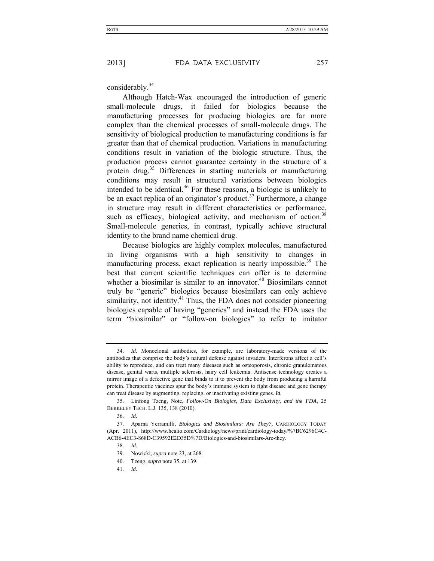considerably.<sup>34</sup>

Although Hatch-Wax encouraged the introduction of generic small-molecule drugs, it failed for biologics because the manufacturing processes for producing biologics are far more complex than the chemical processes of small-molecule drugs. The sensitivity of biological production to manufacturing conditions is far greater than that of chemical production. Variations in manufacturing conditions result in variation of the biologic structure. Thus, the production process cannot guarantee certainty in the structure of a protein drug.<sup>35</sup> Differences in starting materials or manufacturing conditions may result in structural variations between biologics intended to be identical.<sup>36</sup> For these reasons, a biologic is unlikely to be an exact replica of an originator's product.<sup>37</sup> Furthermore, a change in structure may result in different characteristics or performance, such as efficacy, biological activity, and mechanism of action.<sup>38</sup> Small-molecule generics, in contrast, typically achieve structural identity to the brand name chemical drug.

Because biologics are highly complex molecules, manufactured in living organisms with a high sensitivity to changes in manufacturing process, exact replication is nearly impossible.<sup>39</sup> The best that current scientific techniques can offer is to determine whether a biosimilar is similar to an innovator.<sup>40</sup> Biosimilars cannot truly be "generic" biologics because biosimilars can only achieve similarity, not identity. $41$  Thus, the FDA does not consider pioneering biologics capable of having "generics" and instead the FDA uses the term "biosimilar" or "follow-on biologics" to refer to imitator

- 40. Tzeng, *supra* note 35, at 139.
- 41. *Id.*

 <sup>34.</sup> *Id.* Monoclonal antibodies, for example, are laboratory-made versions of the antibodies that comprise the body's natural defense against invaders. Interferons affect a cell's ability to reproduce, and can treat many diseases such as osteoporosis, chronic granulomatous disease, genital warts, multiple sclerosis, hairy cell leukemia. Antisense technology creates a mirror image of a defective gene that binds to it to prevent the body from producing a harmful protein. Therapeutic vaccines spur the body's immune system to fight disease and gene therapy can treat disease by augmenting, replacing, or inactivating existing genes. *Id.*

 <sup>35.</sup> Linfong Tzeng, Note, *Follow-On Biologics, Data Exclusivity, and the FDA*, 25 BERKELEY TECH. L.J. 135, 138 (2010).

 <sup>36.</sup> *Id.*

 <sup>37.</sup> Aparna Yerramilli, *Biologics and Biosimilars: Are They?*, CARDIOLOGY TODAY (Apr. 2011), http://www.healio.com/Cardiology/news/print/cardiology-today/%7BC6296C4C-ACB6-4EC3-868D-C39592E2D35D%7D/Biologics-and-biosimilars-Are-they.

 <sup>38.</sup> *Id.*

 <sup>39.</sup> Nowicki, *supra* note 23, at 268.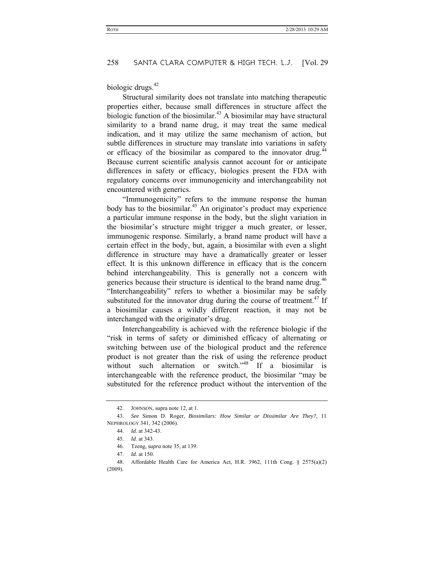biologic drugs. $42$ 

Structural similarity does not translate into matching therapeutic properties either, because small differences in structure affect the biologic function of the biosimilar.<sup>43</sup> A biosimilar may have structural similarity to a brand name drug, it may treat the same medical indication, and it may utilize the same mechanism of action, but subtle differences in structure may translate into variations in safety or efficacy of the biosimilar as compared to the innovator drug. $44$ Because current scientific analysis cannot account for or anticipate differences in safety or efficacy, biologics present the FDA with regulatory concerns over immunogenicity and interchangeability not encountered with generics.

 "Immunogenicity" refers to the immune response the human body has to the biosimilar.<sup>45</sup> An originator's product may experience a particular immune response in the body, but the slight variation in the biosimilar's structure might trigger a much greater, or lesser, immunogenic response. Similarly, a brand name product will have a certain effect in the body, but, again, a biosimilar with even a slight difference in structure may have a dramatically greater or lesser effect. It is this unknown difference in efficacy that is the concern behind interchangeability. This is generally not a concern with generics because their structure is identical to the brand name drug.<sup>46</sup> "Interchangeability" refers to whether a biosimilar may be safely substituted for the innovator drug during the course of treatment.<sup>47</sup> If a biosimilar causes a wildly different reaction, it may not be interchanged with the originator's drug.

Interchangeability is achieved with the reference biologic if the "risk in terms of safety or diminished efficacy of alternating or switching between use of the biological product and the reference product is not greater than the risk of using the reference product without such alternation or switch."<sup>48</sup> If a biosimilar is interchangeable with the reference product, the biosimilar "may be substituted for the reference product without the intervention of the

 <sup>42.</sup> JOHNSON, supra note 12, at 1.

 <sup>43.</sup> *See* Simon D. Roger, *Biosimilars: How Similar or Dissimilar Are They?*, 11 NEPHROLOGY 341, 342 (2006).

 <sup>44.</sup> *Id.* at 342-43.

 <sup>45.</sup> *Id.* at 343.

 <sup>46.</sup> Tzeng, *supra* note 35, at 139.

 <sup>47.</sup> *Id.* at 150.

 <sup>48.</sup> Affordable Health Care for America Act, H.R. 3962, 111th Cong. § 2575(a)(2) (2009).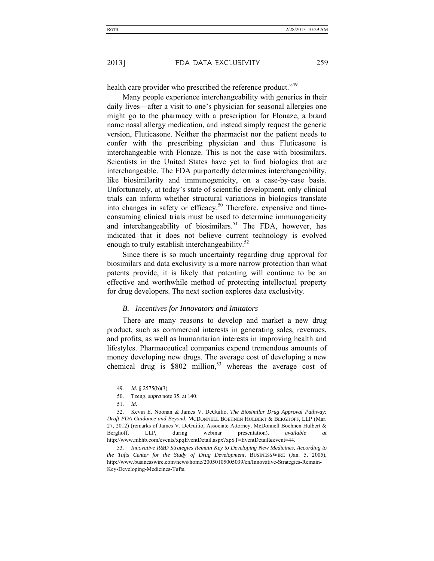health care provider who prescribed the reference product."<sup>49</sup>

Many people experience interchangeability with generics in their daily lives—after a visit to one's physician for seasonal allergies one might go to the pharmacy with a prescription for Flonaze, a brand name nasal allergy medication, and instead simply request the generic version, Fluticasone. Neither the pharmacist nor the patient needs to confer with the prescribing physician and thus Fluticasone is interchangeable with Flonaze. This is not the case with biosimilars. Scientists in the United States have yet to find biologics that are interchangeable. The FDA purportedly determines interchangeability, like biosimilarity and immunogenicity, on a case-by-case basis. Unfortunately, at today's state of scientific development, only clinical trials can inform whether structural variations in biologics translate into changes in safety or efficacy.<sup>50</sup> Therefore, expensive and timeconsuming clinical trials must be used to determine immunogenicity and interchangeability of biosimilars.<sup>51</sup> The FDA, however, has indicated that it does not believe current technology is evolved enough to truly establish interchangeability.<sup>52</sup>

Since there is so much uncertainty regarding drug approval for biosimilars and data exclusivity is a more narrow protection than what patents provide, it is likely that patenting will continue to be an effective and worthwhile method of protecting intellectual property for drug developers. The next section explores data exclusivity.

#### *B. Incentives for Innovators and Imitators*

There are many reasons to develop and market a new drug product, such as commercial interests in generating sales, revenues, and profits, as well as humanitarian interests in improving health and lifestyles. Pharmaceutical companies expend tremendous amounts of money developing new drugs. The average cost of developing a new chemical drug is  $$802$  million,<sup>53</sup> whereas the average cost of

 <sup>49.</sup> *Id.* § 2575(b)(3).

 <sup>50.</sup> Tzeng, *supra* note 35, at 140.

 <sup>51.</sup> *Id.*

 <sup>52.</sup> Kevin E. Noonan & James V. DeGuilio, *The Biosimilar Drug Approval Pathway: Draft FDA Guidance and Beyond*, MCDONNELL BOEHNEN HULBERT & BERGHOFF, LLP (Mar. 27, 2012) (remarks of James V. DeGuilio, Associate Attorney, McDonnell Boehnen Hulbert & Berghoff, LLP, during webinar presentation), *available at* http://www.mbhb.com/events/xpqEventDetail.aspx?xpST=EventDetail&event=44.

 <sup>53.</sup> *Innovative R&D Strategies Remain Key to Developing New Medicines, According to the Tufts Center for the Study of Drug Development*, BUSINESSWIRE (Jan. 5, 2005), http://www.businesswire.com/news/home/20050105005039/en/Innovative-Strategies-Remain-Key-Developing-Medicines-Tufts.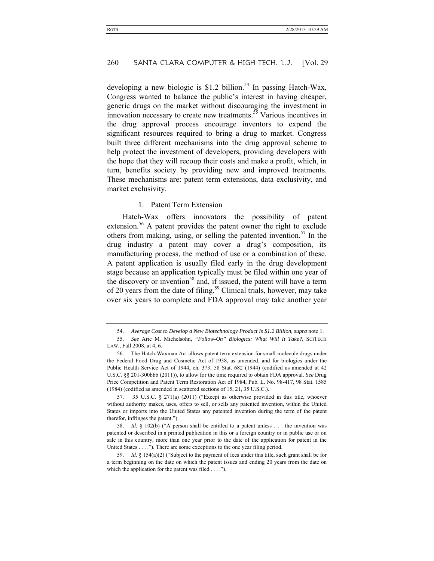developing a new biologic is \$1.2 billion.<sup>54</sup> In passing Hatch-Wax, Congress wanted to balance the public's interest in having cheaper, generic drugs on the market without discouraging the investment in innovation necessary to create new treatments.<sup>55</sup> Various incentives in the drug approval process encourage inventors to expend the significant resources required to bring a drug to market. Congress built three different mechanisms into the drug approval scheme to help protect the investment of developers, providing developers with the hope that they will recoup their costs and make a profit, which, in turn, benefits society by providing new and improved treatments. These mechanisms are: patent term extensions, data exclusivity, and market exclusivity.

#### 1. Patent Term Extension

Hatch-Wax offers innovators the possibility of patent extension.<sup>56</sup> A patent provides the patent owner the right to exclude others from making, using, or selling the patented invention.<sup>57</sup> In the drug industry a patent may cover a drug's composition, its manufacturing process, the method of use or a combination of these. A patent application is usually filed early in the drug development stage because an application typically must be filed within one year of the discovery or invention<sup>58</sup> and, if issued, the patent will have a term of 20 years from the date of filing.<sup>59</sup> Clinical trials, however, may take over six years to complete and FDA approval may take another year

 <sup>54.</sup> *Average Cost to Develop a New Biotechnology Product Is \$1.2 Billion, supra* note 1.

 <sup>55.</sup> *See* Arie M. Michelsohn, *"Follow-On" Biologics: What Will It Take?*, SCITECH LAW., Fall 2008, at 4, 6.

 <sup>56.</sup> The Hatch-Waxman Act allows patent term extension for small-molecule drugs under the Federal Food Drug and Cosmetic Act of 1938, as amended, and for biologics under the Public Health Service Act of 1944, ch. 373, 58 Stat. 682 (1944) (codified as amended at 42 U.S.C. §§ 201-300bbb (2011)), to allow for the time required to obtain FDA approval. *See* Drug Price Competition and Patent Term Restoration Act of 1984, Pub. L. No. 98-417, 98 Stat. 1585 (1984) (codified as amended in scattered sections of 15, 21, 35 U.S.C.).

 <sup>57. 35</sup> U.S.C. § 271(a) (2011) ("Except as otherwise provided in this title, whoever without authority makes, uses, offers to sell, or sells any patented invention, within the United States or imports into the United States any patented invention during the term of the patent therefor, infringes the patent.").

 <sup>58.</sup> *Id.* § 102(b) ("A person shall be entitled to a patent unless . . . the invention was patented or described in a printed publication in this or a foreign country or in public use or on sale in this country, more than one year prior to the date of the application for patent in the United States . . . ."). There are some exceptions to the one year filing period.

 <sup>59.</sup> *Id.* § 154(a)(2) ("Subject to the payment of fees under this title, such grant shall be for a term beginning on the date on which the patent issues and ending 20 years from the date on which the application for the patent was filed . . . .").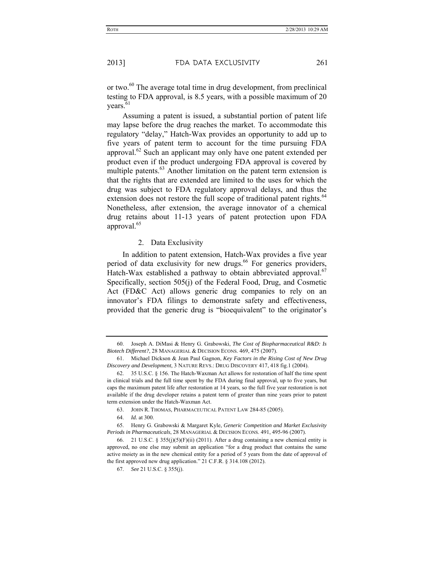or two.<sup>60</sup> The average total time in drug development, from preclinical testing to FDA approval, is 8.5 years, with a possible maximum of 20 years.<sup>61</sup>

Assuming a patent is issued, a substantial portion of patent life may lapse before the drug reaches the market. To accommodate this regulatory "delay," Hatch-Wax provides an opportunity to add up to five years of patent term to account for the time pursuing FDA approval.62 Such an applicant may only have one patent extended per product even if the product undergoing FDA approval is covered by multiple patents.<sup>63</sup> Another limitation on the patent term extension is that the rights that are extended are limited to the uses for which the drug was subject to FDA regulatory approval delays, and thus the extension does not restore the full scope of traditional patent rights.<sup>64</sup> Nonetheless, after extension, the average innovator of a chemical drug retains about 11-13 years of patent protection upon FDA approval.<sup>65</sup>

#### 2. Data Exclusivity

In addition to patent extension, Hatch-Wax provides a five year period of data exclusivity for new drugs.<sup>66</sup> For generics providers, Hatch-Wax established a pathway to obtain abbreviated approval.<sup>67</sup> Specifically, section 505(j) of the Federal Food, Drug, and Cosmetic Act (FD&C Act) allows generic drug companies to rely on an innovator's FDA filings to demonstrate safety and effectiveness, provided that the generic drug is "bioequivalent" to the originator's

63. JOHN R. THOMAS, PHARMACEUTICAL PATENT LAW 284-85 (2005).

64. *Id.* at 300.

 <sup>60.</sup> Joseph A. DiMasi & Henry G. Grabowski, *The Cost of Biopharmaceutical R&D: Is Biotech Different?*, 28 MANAGERIAL & DECISION ECONS. 469, 475 (2007).

 <sup>61.</sup> Michael Dickson & Jean Paul Gagnon, *Key Factors in the Rising Cost of New Drug Discovery and Development*, 3 NATURE REVS.: DRUG DISCOVERY 417, 418 fig.1 (2004).

 <sup>62. 35</sup> U.S.C. § 156. The Hatch-Waxman Act allows for restoration of half the time spent in clinical trials and the full time spent by the FDA during final approval, up to five years, but caps the maximum patent life after restoration at 14 years, so the full five year restoration is not available if the drug developer retains a patent term of greater than nine years prior to patent term extension under the Hatch-Waxman Act.

 <sup>65.</sup> Henry G. Grabowski & Margaret Kyle, *Generic Competition and Market Exclusivity Periods in Pharmaceuticals*, 28 MANAGERIAL & DECISION ECONS. 491, 495-96 (2007).

<sup>66. 21</sup> U.S.C. § 355(j)(5)(F)(ii) (2011). After a drug containing a new chemical entity is approved, no one else may submit an application "for a drug product that contains the same active moiety as in the new chemical entity for a period of 5 years from the date of approval of the first approved new drug application." 21 C.F.R. § 314.108 (2012).

 <sup>67.</sup> *See* 21 U.S.C. § 355(j).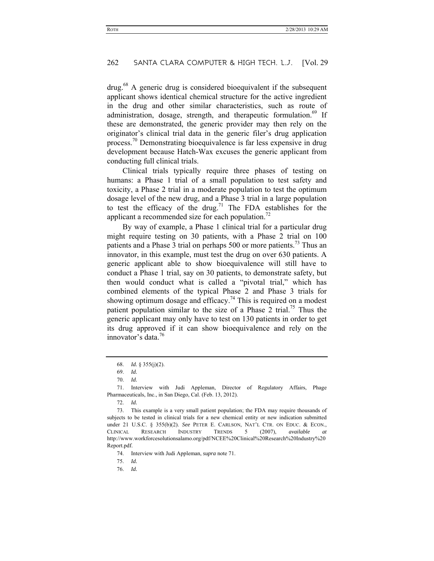drug.68 A generic drug is considered bioequivalent if the subsequent applicant shows identical chemical structure for the active ingredient in the drug and other similar characteristics, such as route of administration, dosage, strength, and therapeutic formulation.<sup>69</sup> If these are demonstrated, the generic provider may then rely on the originator's clinical trial data in the generic filer's drug application process.70 Demonstrating bioequivalence is far less expensive in drug development because Hatch-Wax excuses the generic applicant from conducting full clinical trials.

Clinical trials typically require three phases of testing on humans: a Phase 1 trial of a small population to test safety and toxicity, a Phase 2 trial in a moderate population to test the optimum dosage level of the new drug, and a Phase 3 trial in a large population to test the efficacy of the drug.<sup>71</sup> The FDA establishes for the applicant a recommended size for each population.<sup>72</sup>

By way of example, a Phase 1 clinical trial for a particular drug might require testing on 30 patients, with a Phase 2 trial on 100 patients and a Phase 3 trial on perhaps 500 or more patients.<sup>73</sup> Thus an innovator, in this example, must test the drug on over 630 patients. A generic applicant able to show bioequivalence will still have to conduct a Phase 1 trial, say on 30 patients, to demonstrate safety, but then would conduct what is called a "pivotal trial," which has combined elements of the typical Phase 2 and Phase 3 trials for showing optimum dosage and efficacy.<sup>74</sup> This is required on a modest patient population similar to the size of a Phase 2 trial.<sup>75</sup> Thus the generic applicant may only have to test on 130 patients in order to get its drug approved if it can show bioequivalence and rely on the innovator's data<sup>76</sup>

 71. Interview with Judi Appleman, Director of Regulatory Affairs, Phage Pharmaceuticals, Inc., in San Diego, Cal. (Feb. 13, 2012).

72. *Id.*

 73. This example is a very small patient population; the FDA may require thousands of subjects to be tested in clinical trials for a new chemical entity or new indication submitted under 21 U.S.C. § 355(b)(2). *See* PETER E. CARLSON, NAT'L CTR. ON EDUC. & ECON., CLINICAL RESEARCH INDUSTRY TRENDS 5 (2007), *available at* http://www.workforcesolutionsalamo.org/pdf/NCEE%20Clinical%20Research%20Industry%20 Report.pdf.

- 74. Interview with Judi Appleman, *supra* note 71.
- 75. *Id.*
- 76. *Id.*

 <sup>68.</sup> *Id.* § 355(j)(2).

 <sup>69.</sup> *Id.*

 <sup>70.</sup> *Id.*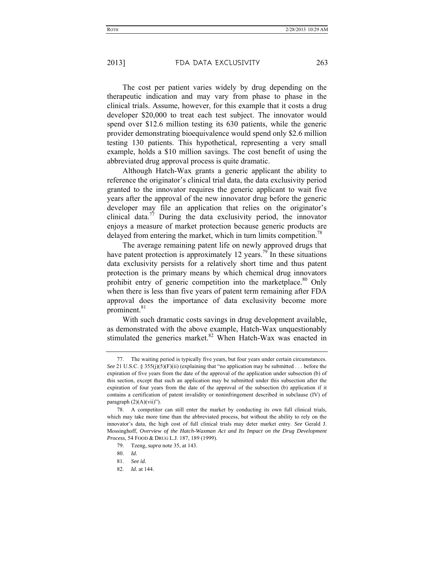The cost per patient varies widely by drug depending on the therapeutic indication and may vary from phase to phase in the clinical trials. Assume, however, for this example that it costs a drug developer \$20,000 to treat each test subject. The innovator would spend over \$12.6 million testing its 630 patients, while the generic provider demonstrating bioequivalence would spend only \$2.6 million testing 130 patients. This hypothetical, representing a very small example, holds a \$10 million savings. The cost benefit of using the abbreviated drug approval process is quite dramatic.

Although Hatch-Wax grants a generic applicant the ability to reference the originator's clinical trial data, the data exclusivity period granted to the innovator requires the generic applicant to wait five years after the approval of the new innovator drug before the generic developer may file an application that relies on the originator's clinical data.<sup>77</sup> During the data exclusivity period, the innovator enjoys a measure of market protection because generic products are delayed from entering the market, which in turn limits competition.<sup>78</sup>

The average remaining patent life on newly approved drugs that have patent protection is approximately 12 years.<sup>79</sup> In these situations data exclusivity persists for a relatively short time and thus patent protection is the primary means by which chemical drug innovators prohibit entry of generic competition into the marketplace. $80$  Only when there is less than five years of patent term remaining after FDA approval does the importance of data exclusivity become more prominent.<sup>81</sup>

With such dramatic costs savings in drug development available, as demonstrated with the above example, Hatch-Wax unquestionably stimulated the generics market.<sup>82</sup> When Hatch-Wax was enacted in

82. *Id.* at 144.

 <sup>77.</sup> The waiting period is typically five years, but four years under certain circumstances. *See* 21 U.S.C. § 355(j)(5)(F)(ii) (explaining that "no application may be submitted . . . before the expiration of five years from the date of the approval of the application under subsection (b) of this section, except that such an application may be submitted under this subsection after the expiration of four years from the date of the approval of the subsection (b) application if it contains a certification of patent invalidity or noninfringement described in subclause (IV) of paragraph  $(2)(A)(vii)$ ").

 <sup>78.</sup> A competitor can still enter the market by conducting its own full clinical trials, which may take more time than the abbreviated process, but without the ability to rely on the innovator's data, the high cost of full clinical trials may deter market entry. *See* Gerald J. Mossinghoff, *Overview of the Hatch-Waxman Act and Its Impact on the Drug Development Process*, 54 FOOD & DRUG L.J. 187, 189 (1999).

 <sup>79.</sup> Tzeng, *supra* note 35, at 143.

 <sup>80.</sup> *Id.*

 <sup>81.</sup> *See id.*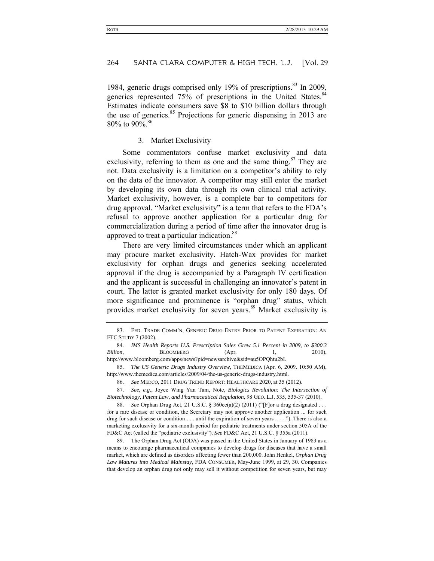1984, generic drugs comprised only 19% of prescriptions.<sup>83</sup> In 2009, generics represented 75% of prescriptions in the United States.<sup>84</sup> Estimates indicate consumers save \$8 to \$10 billion dollars through the use of generics.<sup>85</sup> Projections for generic dispensing in 2013 are 80% to 90%.<sup>86</sup>

3. Market Exclusivity

Some commentators confuse market exclusivity and data exclusivity, referring to them as one and the same thing.<sup>87</sup> They are not. Data exclusivity is a limitation on a competitor's ability to rely on the data of the innovator. A competitor may still enter the market by developing its own data through its own clinical trial activity. Market exclusivity, however, is a complete bar to competitors for drug approval. "Market exclusivity" is a term that refers to the FDA's refusal to approve another application for a particular drug for commercialization during a period of time after the innovator drug is approved to treat a particular indication.<sup>88</sup>

There are very limited circumstances under which an applicant may procure market exclusivity. Hatch-Wax provides for market exclusivity for orphan drugs and generics seeking accelerated approval if the drug is accompanied by a Paragraph IV certification and the applicant is successful in challenging an innovator's patent in court. The latter is granted market exclusivity for only 180 days. Of more significance and prominence is "orphan drug" status, which provides market exclusivity for seven years.<sup>89</sup> Market exclusivity is

86. *See* MEDCO, 2011 DRUG TREND REPORT: HEALTHCARE 2020, at 35 (2012).

 87. *See, e.g.*, Joyce Wing Yan Tam, Note, *Biologics Revolution: The Intersection of Biotechnology, Patent Law, and Pharmaceutical Regulation*, 98 GEO. L.J. 535, 535-37 (2010).

 88. *See* Orphan Drug Act, 21 U.S.C. § 360cc(a)(2) (2011) ("[F]or a drug designated . . . for a rare disease or condition, the Secretary may not approve another application ... for such drug for such disease or condition . . . until the expiration of seven years . . . ."). There is also a marketing exclusivity for a six-month period for pediatric treatments under section 505A of the FD&C Act (called the "pediatric exclusivity"). *See* FD&C Act, 21 U.S.C. § 355a (2011).

 89. The Orphan Drug Act (ODA) was passed in the United States in January of 1983 as a means to encourage pharmaceutical companies to develop drugs for diseases that have a small market, which are defined as disorders affecting fewer than 200,000. John Henkel, *Orphan Drug Law Matures into Medical Mainstay*, FDA CONSUMER, May-June 1999, at 29, 30. Companies that develop an orphan drug not only may sell it without competition for seven years, but may

 <sup>83.</sup> FED. TRADE COMM'N, GENERIC DRUG ENTRY PRIOR TO PATENT EXPIRATION: AN FTC STUDY 7 (2002).

 <sup>84.</sup> *IMS Health Reports U.S. Prescription Sales Grew 5.1 Percent in 2009, to \$300.3 Billion*, **BLOOMBERG** (Apr. 1, 2010), http://www.bloomberg.com/apps/news?pid=newsarchive&sid=au5OPQhtu2bI.

 <sup>85.</sup> *The US Generic Drugs Industry Overview*, THEMEDICA (Apr. 6, 2009. 10:50 AM), http://www.themedica.com/articles/2009/04/the-us-generic-drugs-industry.html.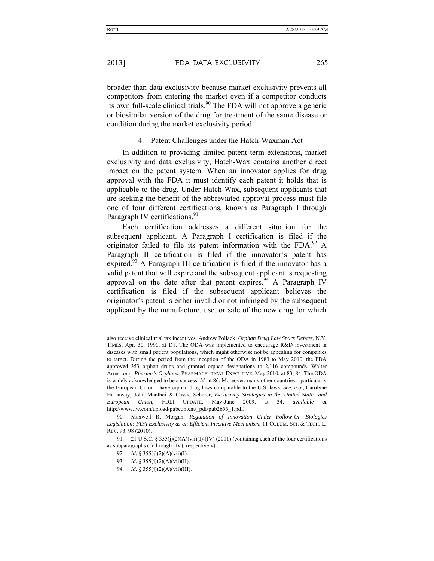broader than data exclusivity because market exclusivity prevents all competitors from entering the market even if a competitor conducts its own full-scale clinical trials.<sup>90</sup> The FDA will not approve a generic or biosimilar version of the drug for treatment of the same disease or condition during the market exclusivity period.

4. Patent Challenges under the Hatch-Waxman Act

In addition to providing limited patent term extensions, market exclusivity and data exclusivity, Hatch-Wax contains another direct impact on the patent system. When an innovator applies for drug approval with the FDA it must identify each patent it holds that is applicable to the drug. Under Hatch-Wax, subsequent applicants that are seeking the benefit of the abbreviated approval process must file one of four different certifications, known as Paragraph I through Paragraph IV certifications.<sup>91</sup>

Each certification addresses a different situation for the subsequent applicant. A Paragraph I certification is filed if the originator failed to file its patent information with the FDA. $^{92}$  A Paragraph II certification is filed if the innovator's patent has expired.<sup>93</sup> A Paragraph III certification is filed if the innovator has a valid patent that will expire and the subsequent applicant is requesting approval on the date after that patent expires.  $94$  A Paragraph IV certification is filed if the subsequent applicant believes the originator's patent is either invalid or not infringed by the subsequent applicant by the manufacture, use, or sale of the new drug for which

- 92. *Id.* § 355(j)(2)(A)(vii)(I).
- 93. *Id.* § 355(j)(2)(A)(vii)(II).
- 94. *Id.* § 355(j)(2)(A)(vii)(III).

also receive clinical trial tax incentives. Andrew Pollack, *Orphan Drug Law Spurs Debate*, N.Y. TIMES, Apr. 30, 1990, at D1. The ODA was implemented to encourage R&D investment in diseases with small patient populations, which might otherwise not be appealing for companies to target. During the period from the inception of the ODA in 1983 to May 2010, the FDA approved 353 orphan drugs and granted orphan designations to 2,116 compounds. Walter Armstrong, *Pharma's Orphans*, PHARMACEUTICAL EXECUTIVE, May 2010, at 83, 84. The ODA is widely acknowledged to be a success. *Id.* at 86. Moreover, many other countries––particularly the European Union—have orphan drug laws comparable to the U.S. laws. *See, e.g.*, Carolyne Hathaway, John Manthei & Cassie Scherer, *Exclusivity Strategies in the United States and European Union*, FDLI UPDATE, May-June 2009, at 34, *available at* http://www.lw.com/upload/pubcontent/\_pdf/pub2655\_1.pdf.

 <sup>90.</sup> Maxwell R. Morgan, *Regulation of Innovation Under Follow-On Biologics Legislation: FDA Exclusivity as an Efficient Incentive Mechanism*, 11 COLUM. SCI. & TECH. L. REV. 93, 98 (2010).

<sup>91. 21</sup> U.S.C.  $\S 355(i)(2)(A)(vii)(I)-(IV)$  (2011) (containing each of the four certifications as subparagraphs (I) through (IV), respectively).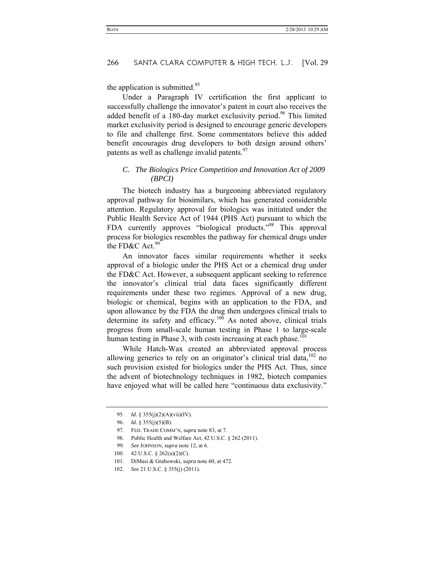the application is submitted. $95$ 

Under a Paragraph IV certification the first applicant to successfully challenge the innovator's patent in court also receives the added benefit of a 180-day market exclusivity period.<sup>96</sup> This limited market exclusivity period is designed to encourage generic developers to file and challenge first. Some commentators believe this added benefit encourages drug developers to both design around others' patents as well as challenge invalid patents.<sup>97</sup>

#### *C. The Biologics Price Competition and Innovation Act of 2009 (BPCI)*

The biotech industry has a burgeoning abbreviated regulatory approval pathway for biosimilars, which has generated considerable attention. Regulatory approval for biologics was initiated under the Public Health Service Act of 1944 (PHS Act) pursuant to which the FDA currently approves "biological products."<sup>98</sup> This approval process for biologics resembles the pathway for chemical drugs under the FD&C Act.  $99$ 

An innovator faces similar requirements whether it seeks approval of a biologic under the PHS Act or a chemical drug under the FD&C Act. However, a subsequent applicant seeking to reference the innovator's clinical trial data faces significantly different requirements under these two regimes. Approval of a new drug, biologic or chemical, begins with an application to the FDA, and upon allowance by the FDA the drug then undergoes clinical trials to determine its safety and efficacy.<sup>100</sup> As noted above, clinical trials progress from small-scale human testing in Phase 1 to large-scale human testing in Phase 3, with costs increasing at each phase.<sup>101</sup>

While Hatch-Wax created an abbreviated approval process allowing generics to rely on an originator's clinical trial data,<sup>102</sup> no such provision existed for biologics under the PHS Act. Thus, since the advent of biotechnology techniques in 1982, biotech companies have enjoyed what will be called here "continuous data exclusivity."

102. *See* 21 U.S.C. § 355(j) (2011).

 <sup>95.</sup> *Id.* § 355(j)(2)(A)(vii)(IV).

 <sup>96.</sup> *Id.* § 355(j)(5)(B).

 <sup>97.</sup> FED. TRADE COMM'N, *supra* note 83, at 7.

 <sup>98.</sup> Public Health and Welfare Act, 42 U.S.C. § 262 (2011).

 <sup>99.</sup> *See* JOHNSON, *supra* note 12, at 6.

 <sup>100. 42</sup> U.S.C. § 262(a)(2)(C).

 <sup>101.</sup> DiMasi & Grabowski, *supra* note 60, at 472.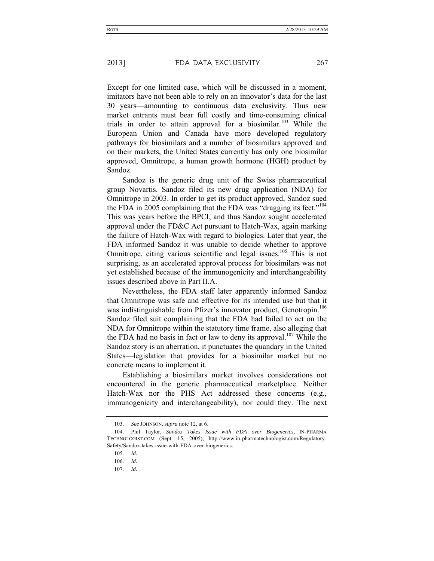Except for one limited case, which will be discussed in a moment, imitators have not been able to rely on an innovator's data for the last 30 years—amounting to continuous data exclusivity. Thus new market entrants must bear full costly and time-consuming clinical trials in order to attain approval for a biosimilar.<sup>103</sup> While the European Union and Canada have more developed regulatory pathways for biosimilars and a number of biosimilars approved and on their markets, the United States currently has only one biosimilar approved, Omnitrope, a human growth hormone (HGH) product by Sandoz.

Sandoz is the generic drug unit of the Swiss pharmaceutical group Novartis. Sandoz filed its new drug application (NDA) for Omnitrope in 2003. In order to get its product approved, Sandoz sued the FDA in 2005 complaining that the FDA was "dragging its feet."<sup>104</sup> This was years before the BPCI, and thus Sandoz sought accelerated approval under the FD&C Act pursuant to Hatch-Wax, again marking the failure of Hatch-Wax with regard to biologics. Later that year, the FDA informed Sandoz it was unable to decide whether to approve Omnitrope, citing various scientific and legal issues.<sup>105</sup> This is not surprising, as an accelerated approval process for biosimilars was not yet established because of the immunogenicity and interchangeability issues described above in Part II.A.

Nevertheless, the FDA staff later apparently informed Sandoz that Omnitrope was safe and effective for its intended use but that it was indistinguishable from Pfizer's innovator product, Genotropin.<sup>106</sup> Sandoz filed suit complaining that the FDA had failed to act on the NDA for Omnitrope within the statutory time frame, also alleging that the FDA had no basis in fact or law to deny its approval.<sup>107</sup> While the Sandoz story is an aberration, it punctuates the quandary in the United States—legislation that provides for a biosimilar market but no concrete means to implement it.

Establishing a biosimilars market involves considerations not encountered in the generic pharmaceutical marketplace. Neither Hatch-Wax nor the PHS Act addressed these concerns (e.g., immunogenicity and interchangeability), nor could they. The next

 <sup>103.</sup> *See* JOHNSON, *supra* note 12, at 6.

 <sup>104.</sup> Phil Taylor, *Sandoz Takes Issue with FDA over Biogenerics*, IN-PHARMA TECHNOLOGIST.COM (Sept. 15, 2005), http://www.in-pharmatechnologist.com/Regulatory-Safety/Sandoz-takes-issue-with-FDA-over-biogenerics.

 <sup>105.</sup> *Id.*

 <sup>106.</sup> *Id.*

 <sup>107.</sup> *Id.*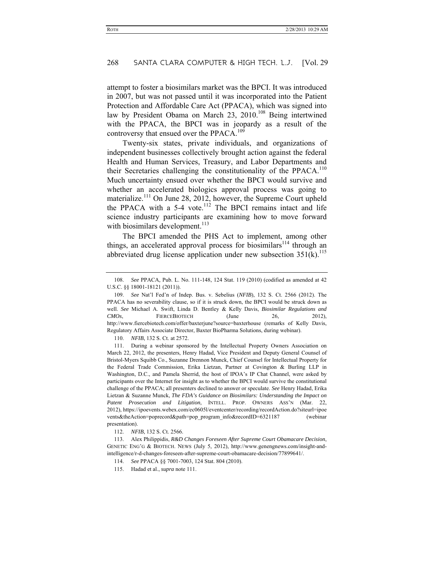attempt to foster a biosimilars market was the BPCI. It was introduced in 2007, but was not passed until it was incorporated into the Patient Protection and Affordable Care Act (PPACA), which was signed into law by President Obama on March 23, 2010.<sup>108</sup> Being intertwined with the PPACA, the BPCI was in jeopardy as a result of the controversy that ensued over the PPACA.<sup>109</sup>

Twenty-six states, private individuals, and organizations of independent businesses collectively brought action against the federal Health and Human Services, Treasury, and Labor Departments and their Secretaries challenging the constitutionality of the PPACA.<sup>110</sup> Much uncertainty ensued over whether the BPCI would survive and whether an accelerated biologics approval process was going to materialize.<sup>111</sup> On June 28, 2012, however, the Supreme Court upheld the PPACA with a 5-4 vote.<sup>112</sup> The BPCI remains intact and life science industry participants are examining how to move forward with biosimilars development. $^{113}$ 

The BPCI amended the PHS Act to implement, among other things, an accelerated approval process for biosimilars<sup>114</sup> through an abbreviated drug license application under new subsection  $351(k)$ .<sup>115</sup>

110. *NFIB*, 132 S. Ct. at 2572.

 <sup>108.</sup> *See* PPACA*,* Pub. L. No. 111-148, 124 Stat. 119 (2010) (codified as amended at 42 U.S.C. §§ 18001-18121 (2011)).

 <sup>109.</sup> *See* Nat'l Fed'n of Indep. Bus. v. Sebelius (*NFIB*), 132 S. Ct. 2566 (2012). The PPACA has no severability clause, so if it is struck down, the BPCI would be struck down as well. *See* Michael A. Swift, Linda D. Bentley & Kelly Davis, *Biosimilar Regulations and CMOs*, FIERCEBIOTECH (June 26, 2012), http://www.fiercebiotech.com/offer/baxterjune?source=baxterhouse (remarks of Kelly Davis, Regulatory Affairs Associate Director, Baxter BioPharma Solutions, during webinar).

 <sup>111.</sup> During a webinar sponsored by the Intellectual Property Owners Association on March 22, 2012, the presenters, Henry Hadad, Vice President and Deputy General Counsel of Bristol-Myers Squibb Co., Suzanne Drennon Munck, Chief Counsel for Intellectual Property for the Federal Trade Commission, Erika Lietzan, Partner at Covington & Burling LLP in Washington, D.C., and Pamela Sherrid, the host of IPOA's IP Chat Channel, were asked by participants over the Internet for insight as to whether the BPCI would survive the constitutional challenge of the PPACA; all presenters declined to answer or speculate. *See* Henry Hadad, Erika Lietzan & Suzanne Munck, *The FDA's Guidance on Biosimilars: Understanding the Impact on Patent Prosecution and Litigation*, INTELL. PROP. OWNERS ASS'N (Mar. 22, 2012), https://ipoevents.webex.com/ec0605l/eventcenter/recording/recordAction.do?siteurl=ipoe vents&theAction=poprecord&path=pop\_program\_info&recordID=6321187 (webinar presentation).

 <sup>112.</sup> *NFIB*, 132 S. Ct. 2566.

 <sup>113.</sup> Alex Philippidis, *R&D Changes Foreseen After Supreme Court Obamacare Decision*, GENETIC ENG'G & BIOTECH. NEWS (July 5, 2012), http://www.genengnews.com/insight-andintelligence/r-d-changes-foreseen-after-supreme-court-obamacare-decision/77899641/.

 <sup>114.</sup> *See* PPACA §§ 7001-7003, 124 Stat. 804 (2010).

 <sup>115.</sup> Hadad et al., *supra* note 111.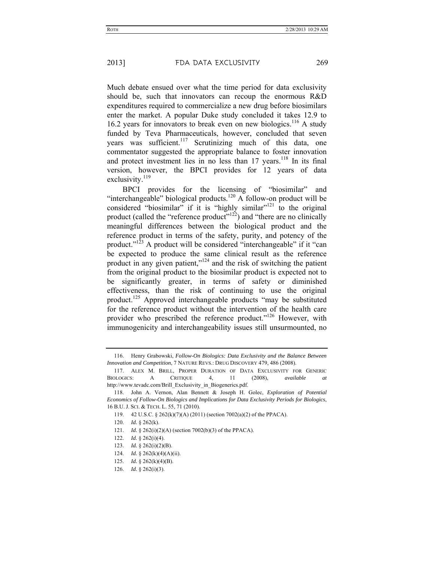Much debate ensued over what the time period for data exclusivity should be, such that innovators can recoup the enormous R&D expenditures required to commercialize a new drug before biosimilars enter the market. A popular Duke study concluded it takes 12.9 to 16.2 years for innovators to break even on new biologics.<sup>116</sup> A study funded by Teva Pharmaceuticals, however, concluded that seven years was sufficient.117 Scrutinizing much of this data, one commentator suggested the appropriate balance to foster innovation and protect investment lies in no less than  $17$  years.<sup>118</sup> In its final version, however, the BPCI provides for 12 years of data exclusivity.<sup>119</sup>

BPCI provides for the licensing of "biosimilar" and "interchangeable" biological products.<sup>120</sup> A follow-on product will be considered "biosimilar" if it is "highly similar"<sup>121</sup> to the original product (called the "reference product"<sup>122</sup>) and "there are no clinically meaningful differences between the biological product and the reference product in terms of the safety, purity, and potency of the product." $^{123}$  A product will be considered "interchangeable" if it "can be expected to produce the same clinical result as the reference product in any given patient,"<sup>124</sup> and the risk of switching the patient from the original product to the biosimilar product is expected not to be significantly greater, in terms of safety or diminished effectiveness, than the risk of continuing to use the original product.125 Approved interchangeable products "may be substituted for the reference product without the intervention of the health care provider who prescribed the reference product."<sup>126</sup> However, with immunogenicity and interchangeability issues still unsurmounted, no

- 124. *Id.* § 262(k)(4)(A)(ii).
- 125. *Id.* § 262(k)(4)(B).
- 126. *Id.* § 262(i)(3).

 <sup>116.</sup> Henry Grabowski, *Follow-On Biologics: Data Exclusivity and the Balance Between Innovation and Competition*, 7 NATURE REVS.: DRUG DISCOVERY 479, 486 (2008).

 <sup>117.</sup> ALEX M. BRILL, PROPER DURATION OF DATA EXCLUSIVITY FOR GENERIC BIOLOGICS: A CRITIQUE 4, 11 (2008), *available at* http://www.tevadc.com/Brill\_Exclusivity\_in\_Biogenerics.pdf.

 <sup>118.</sup> John A. Vernon, Alan Bennett & Joseph H. Golec, *Exploration of Potential Economics of Follow-On Biologics and Implications for Data Exclusivity Periods for Biologics*, 16 B.U. J. SCI. & TECH. L. 55, 71 (2010).

 <sup>119. 42</sup> U.S.C. § 262(k)(7)(A) (2011) (section 7002(a)(2) of the PPACA).

 <sup>120.</sup> *Id.* § 262(k).

 <sup>121.</sup> *Id.* § 262(i)(2)(A) (section 7002(b)(3) of the PPACA).

 <sup>122.</sup> *Id.* § 262(i)(4).

 <sup>123.</sup> *Id.* § 262(i)(2)(B).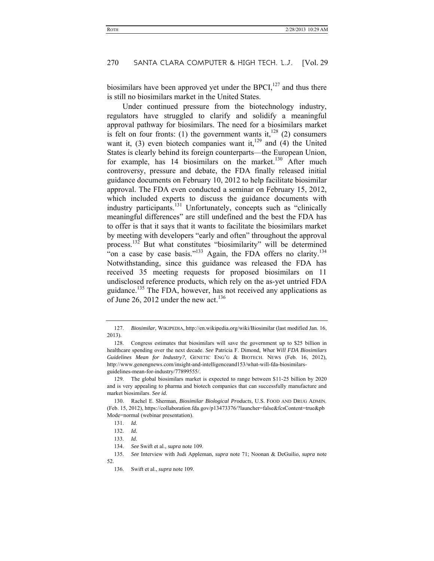biosimilars have been approved yet under the BPCI, $^{127}$  and thus there is still no biosimilars market in the United States.

Under continued pressure from the biotechnology industry. regulators have struggled to clarify and solidify a meaningful approval pathway for biosimilars. The need for a biosimilars market is felt on four fronts: (1) the government wants it,  $128$  (2) consumers want it,  $(3)$  even biotech companies want it,<sup>129</sup> and  $(4)$  the United States is clearly behind its foreign counterparts—the European Union, for example, has  $14$  biosimilars on the market.<sup>130</sup> After much controversy, pressure and debate, the FDA finally released initial guidance documents on February 10, 2012 to help facilitate biosimilar approval. The FDA even conducted a seminar on February 15, 2012, which included experts to discuss the guidance documents with industry participants.<sup>131</sup> Unfortunately, concepts such as "clinically meaningful differences" are still undefined and the best the FDA has to offer is that it says that it wants to facilitate the biosimilars market by meeting with developers "early and often" throughout the approval process.132 But what constitutes "biosimilarity" will be determined "on a case by case basis."<sup>133</sup> Again, the FDA offers no clarity.<sup>134</sup> Notwithstanding, since this guidance was released the FDA has received 35 meeting requests for proposed biosimilars on 11 undisclosed reference products, which rely on the as-yet untried FDA guidance.<sup>135</sup> The FDA, however, has not received any applications as of June 26, 2012 under the new act.<sup>136</sup>

134. *See* Swift et al., *supra* note 109.

 <sup>127.</sup> *Biosimilar*, WIKIPEDIA, http://en.wikipedia.org/wiki/Biosimilar (last modified Jan. 16, 2013).

 <sup>128.</sup> Congress estimates that biosimilars will save the government up to \$25 billion in healthcare spending over the next decade. *See* Patricia F. Dimond, *What Will FDA Biosimilars Guidelines Mean for Industry?*, GENETIC ENG'G & BIOTECH. NEWS (Feb. 16, 2012), http://www.genengnews.com/insight-and-intelligenceand153/what-will-fda-biosimilarsguidelines-mean-for-industry/77899555/.

 <sup>129.</sup> The global biosimilars market is expected to range between \$11-25 billion by 2020 and is very appealing to pharma and biotech companies that can successfully manufacture and market biosimilars. *See id.*

 <sup>130.</sup> Rachel E. Sherman, *Biosimilar Biological Products*, U.S. FOOD AND DRUG ADMIN. (Feb. 15, 2012), https://collaboration.fda.gov/p13473376/?launcher=false&fcsContent=true&pb Mode=normal (webinar presentation).

 <sup>131.</sup> *Id.*

 <sup>132.</sup> *Id.*

 <sup>133.</sup> *Id.*

 <sup>135.</sup> *See* Interview with Judi Appleman, *supra* note 71; Noonan & DeGuilio, *supra* note 52.

 <sup>136.</sup> Swift et al., *supra* note 109.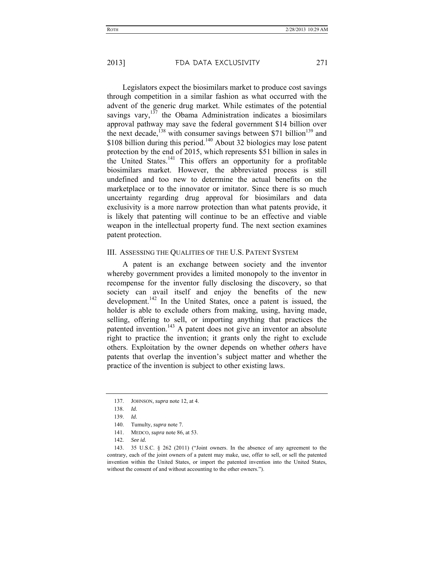Legislators expect the biosimilars market to produce cost savings through competition in a similar fashion as what occurred with the advent of the generic drug market. While estimates of the potential savings vary, $137$  the Obama Administration indicates a biosimilars approval pathway may save the federal government \$14 billion over the next decade,<sup>138</sup> with consumer savings between \$71 billion<sup>139</sup> and \$108 billion during this period.<sup>140</sup> About 32 biologics may lose patent protection by the end of 2015, which represents \$51 billion in sales in the United States. $^{141}$  This offers an opportunity for a profitable biosimilars market. However, the abbreviated process is still undefined and too new to determine the actual benefits on the marketplace or to the innovator or imitator. Since there is so much uncertainty regarding drug approval for biosimilars and data exclusivity is a more narrow protection than what patents provide, it is likely that patenting will continue to be an effective and viable weapon in the intellectual property fund. The next section examines patent protection.

#### III. ASSESSING THE QUALITIES OF THE U.S. PATENT SYSTEM

A patent is an exchange between society and the inventor whereby government provides a limited monopoly to the inventor in recompense for the inventor fully disclosing the discovery, so that society can avail itself and enjoy the benefits of the new development.<sup>142</sup> In the United States, once a patent is issued, the holder is able to exclude others from making, using, having made, selling, offering to sell, or importing anything that practices the patented invention.<sup>143</sup> A patent does not give an inventor an absolute right to practice the invention; it grants only the right to exclude others. Exploitation by the owner depends on whether *others* have patents that overlap the invention's subject matter and whether the practice of the invention is subject to other existing laws.

- 140. Tumulty, *supra* note 7.
- 141. MEDCO, *supra* note 86, at 53.
- 142. *See id.*

 <sup>137.</sup> JOHNSON, *supra* note 12, at 4.

 <sup>138.</sup> *Id.*

 <sup>139.</sup> *Id.*

 <sup>143. 35</sup> U.S.C. § 262 (2011) ("Joint owners. In the absence of any agreement to the contrary, each of the joint owners of a patent may make, use, offer to sell, or sell the patented invention within the United States, or import the patented invention into the United States, without the consent of and without accounting to the other owners.").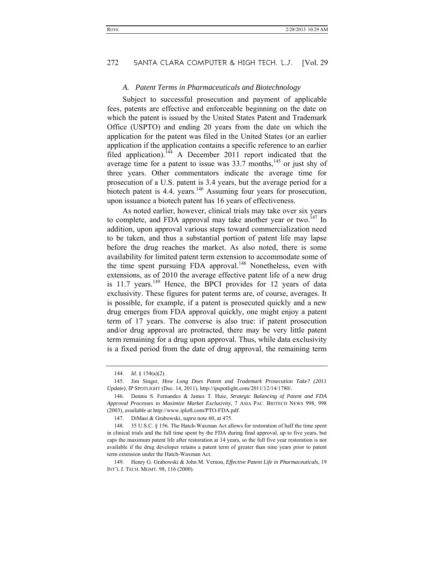#### *A. Patent Terms in Pharmaceuticals and Biotechnology*

Subject to successful prosecution and payment of applicable fees, patents are effective and enforceable beginning on the date on which the patent is issued by the United States Patent and Trademark Office (USPTO) and ending 20 years from the date on which the application for the patent was filed in the United States (or an earlier application if the application contains a specific reference to an earlier filed application).<sup>144</sup> A December 2011 report indicated that the average time for a patent to issue was  $33.7$  months,<sup>145</sup> or just shy of three years. Other commentators indicate the average time for prosecution of a U.S. patent is 3.4 years, but the average period for a biotech patent is 4.4. years.<sup>146</sup> Assuming four years for prosecution, upon issuance a biotech patent has 16 years of effectiveness.

As noted earlier, however, clinical trials may take over six years to complete, and FDA approval may take another year or two.<sup>147</sup> In addition, upon approval various steps toward commercialization need to be taken, and thus a substantial portion of patent life may lapse before the drug reaches the market. As also noted, there is some availability for limited patent term extension to accommodate some of the time spent pursuing FDA approval.<sup>148</sup> Nonetheless, even with extensions, as of 2010 the average effective patent life of a new drug is  $11.7$  years.<sup>149</sup> Hence, the BPCI provides for 12 years of data exclusivity. These figures for patent terms are, of course, averages. It is possible, for example, if a patent is prosecuted quickly and a new drug emerges from FDA approval quickly, one might enjoy a patent term of 17 years. The converse is also true: if patent prosecution and/or drug approval are protracted, there may be very little patent term remaining for a drug upon approval. Thus, while data exclusivity is a fixed period from the date of drug approval, the remaining term

 149. Henry G. Grabowski & John M. Vernon, *Effective Patent Life in Pharmaceuticals*, 19 INT'L J. TECH. MGMT. 98, 116 (2000).

 <sup>144.</sup> *Id.* § 154(a)(2).

 <sup>145.</sup> Jim Singer, *How Long Does Patent and Trademark Prosecution Take? (2011 Update)*, IP SPOTLIGHT (Dec. 14, 2011), http://ipspotlight.com/2011/12/14/1780/.

 <sup>146.</sup> Dennis S. Fernandez & James T. Huie, *Strategic Balancing of Patent and FDA Approval Processes to Maximize Market Exclusivity*, 7 ASIA PAC. BIOTECH NEWS 998, 998 (2003), *available at* http://www.iploft.com/PTO-FDA.pdf.

 <sup>147.</sup> DiMasi & Grabowski, *supra* note 60, at 475.

 <sup>148. 35</sup> U.S.C. § 156. The Hatch-Waxman Act allows for restoration of half the time spent in clinical trials and the full time spent by the FDA during final approval, up to five years, but caps the maximum patent life after restoration at 14 years, so the full five year restoration is not available if the drug developer retains a patent term of greater than nine years prior to patent term extension under the Hatch-Waxman Act.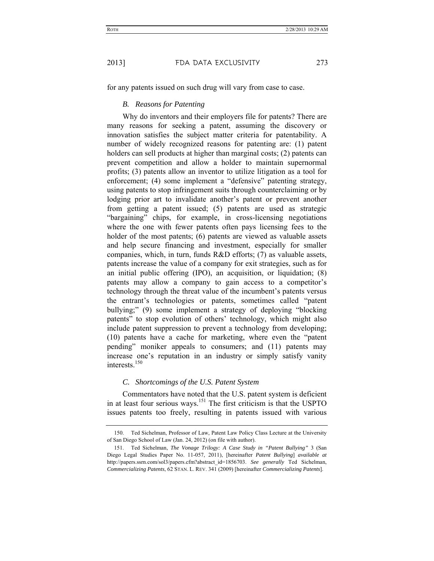for any patents issued on such drug will vary from case to case.

#### *B. Reasons for Patenting*

Why do inventors and their employers file for patents? There are many reasons for seeking a patent, assuming the discovery or innovation satisfies the subject matter criteria for patentability. A number of widely recognized reasons for patenting are: (1) patent holders can sell products at higher than marginal costs; (2) patents can prevent competition and allow a holder to maintain supernormal profits; (3) patents allow an inventor to utilize litigation as a tool for enforcement; (4) some implement a "defensive" patenting strategy, using patents to stop infringement suits through counterclaiming or by lodging prior art to invalidate another's patent or prevent another from getting a patent issued; (5) patents are used as strategic "bargaining" chips, for example, in cross-licensing negotiations where the one with fewer patents often pays licensing fees to the holder of the most patents; (6) patents are viewed as valuable assets and help secure financing and investment, especially for smaller companies, which, in turn, funds R&D efforts; (7) as valuable assets, patents increase the value of a company for exit strategies, such as for an initial public offering (IPO), an acquisition, or liquidation; (8) patents may allow a company to gain access to a competitor's technology through the threat value of the incumbent's patents versus the entrant's technologies or patents, sometimes called "patent bullying;" (9) some implement a strategy of deploying "blocking patents" to stop evolution of others' technology, which might also include patent suppression to prevent a technology from developing; (10) patents have a cache for marketing, where even the "patent pending" moniker appeals to consumers; and (11) patents may increase one's reputation in an industry or simply satisfy vanity interests $150$ 

# *C. Shortcomings of the U.S. Patent System*

Commentators have noted that the U.S. patent system is deficient in at least four serious ways.151 The first criticism is that the USPTO issues patents too freely, resulting in patents issued with various

 <sup>150.</sup> Ted Sichelman, Professor of Law, Patent Law Policy Class Lecture at the University of San Diego School of Law (Jan. 24, 2012) (on file with author).

 <sup>151.</sup> Ted Sichelman, *The Vonage Trilogy: A Case Study in "Patent Bullying"* 3 (San Diego Legal Studies Paper No. 11-057, 2011), [hereinafter *Patent Bullying*] *available at* http://papers.ssrn.com/sol3/papers.cfm?abstract\_id=1856703. *See generally* Ted Sichelman, *Commercializing Patents*, 62 STAN. L. REV. 341 (2009) [hereinafter *Commercializing Patents*].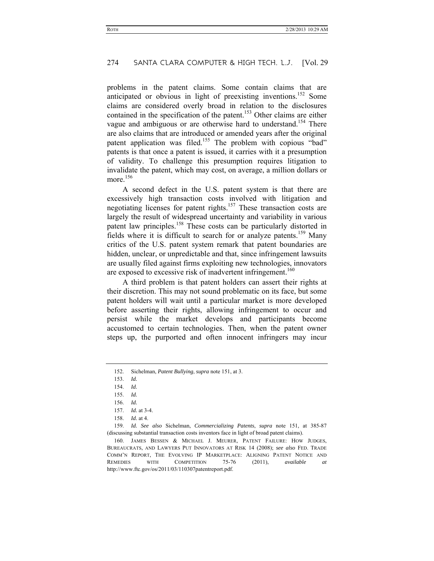problems in the patent claims. Some contain claims that are anticipated or obvious in light of preexisting inventions.<sup>152</sup> Some claims are considered overly broad in relation to the disclosures contained in the specification of the patent.<sup>153</sup> Other claims are either vague and ambiguous or are otherwise hard to understand.<sup>154</sup> There are also claims that are introduced or amended years after the original patent application was filed.<sup>155</sup> The problem with copious "bad" patents is that once a patent is issued, it carries with it a presumption of validity. To challenge this presumption requires litigation to invalidate the patent, which may cost, on average, a million dollars or more.<sup>156</sup>

A second defect in the U.S. patent system is that there are excessively high transaction costs involved with litigation and negotiating licenses for patent rights.<sup>157</sup> These transaction costs are largely the result of widespread uncertainty and variability in various patent law principles.158 These costs can be particularly distorted in fields where it is difficult to search for or analyze patents.<sup>159</sup> Many critics of the U.S. patent system remark that patent boundaries are hidden, unclear, or unpredictable and that, since infringement lawsuits are usually filed against firms exploiting new technologies, innovators are exposed to excessive risk of inadvertent infringement.<sup>160</sup>

A third problem is that patent holders can assert their rights at their discretion. This may not sound problematic on its face, but some patent holders will wait until a particular market is more developed before asserting their rights, allowing infringement to occur and persist while the market develops and participants become accustomed to certain technologies. Then, when the patent owner steps up, the purported and often innocent infringers may incur

 159. *Id. See also* Sichelman, *Commercializing Patents*, *supra* note 151, at 385-87 (discussing substantial transaction costs inventors face in light of broad patent claims).

 <sup>152.</sup> Sichelman, *Patent Bullying*, *supra* note 151, at 3.

 <sup>153.</sup> *Id.*

 <sup>154.</sup> *Id.*

 <sup>155.</sup> *Id.*

 <sup>156.</sup> *Id.*

 <sup>157.</sup> *Id.* at 3-4.

 <sup>158.</sup> *Id.* at 4.

 <sup>160.</sup> JAMES BESSEN & MICHAEL J. MEURER, PATENT FAILURE: HOW JUDGES, BUREAUCRATS, AND LAWYERS PUT INNOVATORS AT RISK 14 (2008); *see also* FED. TRADE COMM'N REPORT, THE EVOLVING IP MARKETPLACE: ALIGNING PATENT NOTICE AND REMEDIES WITH COMPETITION 75-76 (2011), *available at* http://www.ftc.gov/os/2011/03/110307patentreport.pdf.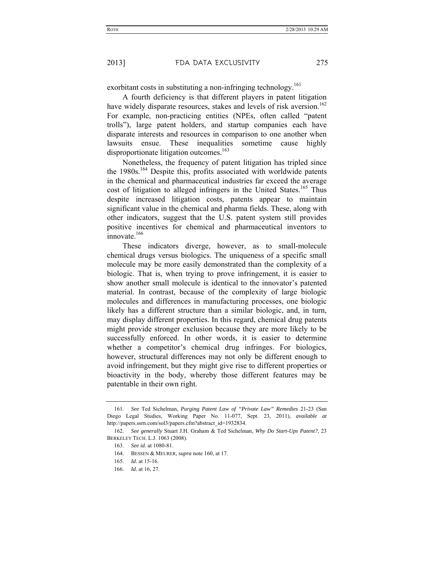exorbitant costs in substituting a non-infringing technology.<sup>161</sup>

A fourth deficiency is that different players in patent litigation have widely disparate resources, stakes and levels of risk aversion.<sup>162</sup> For example, non-practicing entities (NPEs, often called "patent trolls"), large patent holders, and startup companies each have disparate interests and resources in comparison to one another when lawsuits ensue. These inequalities sometime cause highly disproportionate litigation outcomes.<sup>163</sup>

Nonetheless, the frequency of patent litigation has tripled since the 1980s.<sup>164</sup> Despite this, profits associated with worldwide patents in the chemical and pharmaceutical industries far exceed the average cost of litigation to alleged infringers in the United States.<sup>165</sup> Thus despite increased litigation costs, patents appear to maintain significant value in the chemical and pharma fields. These, along with other indicators, suggest that the U.S. patent system still provides positive incentives for chemical and pharmaceutical inventors to innovate  $166$ 

These indicators diverge, however, as to small-molecule chemical drugs versus biologics. The uniqueness of a specific small molecule may be more easily demonstrated than the complexity of a biologic. That is, when trying to prove infringement, it is easier to show another small molecule is identical to the innovator's patented material. In contrast, because of the complexity of large biologic molecules and differences in manufacturing processes, one biologic likely has a different structure than a similar biologic, and, in turn, may display different properties. In this regard, chemical drug patents might provide stronger exclusion because they are more likely to be successfully enforced. In other words, it is easier to determine whether a competitor's chemical drug infringes. For biologics, however, structural differences may not only be different enough to avoid infringement, but they might give rise to different properties or bioactivity in the body, whereby those different features may be patentable in their own right.

 <sup>161.</sup> *See* Ted Sichelman, *Purging Patent Law of "Private Law" Remedies* 21-23 (San Diego Legal Studies, Working Paper No. 11-077, Sept. 23, 2011), *available at* http://papers.ssrn.com/sol3/papers.cfm?abstract\_id=1932834.

 <sup>162.</sup> *See generally* Stuart J.H. Graham & Ted Sichelman, *Why Do Start-Ups Patent?*, 23 BERKELEY TECH. L.J. 1063 (2008).

 <sup>163.</sup> *See id.* at 1080-81.

 <sup>164.</sup> BESSEN & MEURER, *supra* note 160, at 17.

 <sup>165.</sup> *Id.* at 15-16.

 <sup>166.</sup> *Id.* at 16, 27.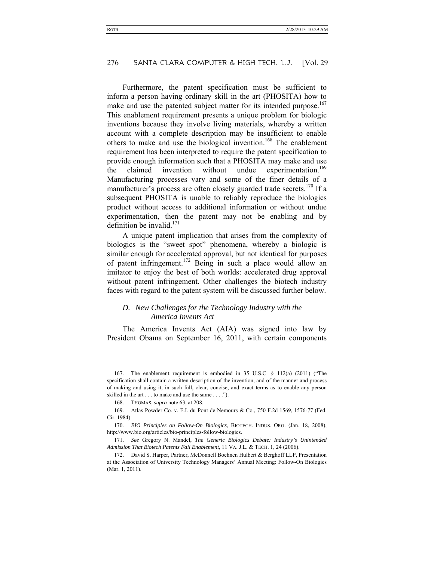Furthermore, the patent specification must be sufficient to inform a person having ordinary skill in the art (PHOSITA) how to make and use the patented subject matter for its intended purpose.<sup>167</sup> This enablement requirement presents a unique problem for biologic inventions because they involve living materials, whereby a written account with a complete description may be insufficient to enable others to make and use the biological invention.168 The enablement requirement has been interpreted to require the patent specification to provide enough information such that a PHOSITA may make and use the claimed invention without undue experimentation.<sup>169</sup> Manufacturing processes vary and some of the finer details of a manufacturer's process are often closely guarded trade secrets.<sup>170</sup> If a subsequent PHOSITA is unable to reliably reproduce the biologics product without access to additional information or without undue experimentation, then the patent may not be enabling and by definition be invalid  $^{171}$ 

A unique patent implication that arises from the complexity of biologics is the "sweet spot" phenomena, whereby a biologic is similar enough for accelerated approval, but not identical for purposes of patent infringement.172 Being in such a place would allow an imitator to enjoy the best of both worlds: accelerated drug approval without patent infringement. Other challenges the biotech industry faces with regard to the patent system will be discussed further below.

#### *D. New Challenges for the Technology Industry with the America Invents Act*

The America Invents Act (AIA) was signed into law by President Obama on September 16, 2011, with certain components

 <sup>167.</sup> The enablement requirement is embodied in 35 U.S.C. § 112(a) (2011) ("The specification shall contain a written description of the invention, and of the manner and process of making and using it, in such full, clear, concise, and exact terms as to enable any person skilled in the art . . . to make and use the same . . . .").

 <sup>168.</sup> THOMAS, *supra* note 63, at 208.

 <sup>169.</sup> Atlas Powder Co. v. E.I. du Pont de Nemours & Co., 750 F.2d 1569, 1576-77 (Fed. Cir. 1984).

 <sup>170.</sup> *BIO Principles on Follow-On Biologics*, BIOTECH. INDUS. ORG. (Jan. 18, 2008), http://www.bio.org/articles/bio-principles-follow-biologics.

 <sup>171.</sup> *See* Gregory N. Mandel, *The Generic Biologics Debate: Industry's Unintended Admission That Biotech Patents Fail Enablement*, 11 VA. J.L. & TECH. 1, 24 (2006).

 <sup>172.</sup> David S. Harper, Partner, McDonnell Boehnen Hulbert & Berghoff LLP, Presentation at the Association of University Technology Managers' Annual Meeting: Follow-On Biologics (Mar. 1, 2011).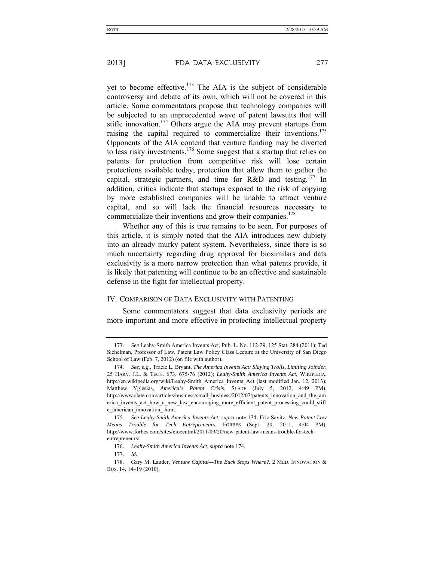yet to become effective.<sup>173</sup> The AIA is the subject of considerable controversy and debate of its own, which will not be covered in this article. Some commentators propose that technology companies will be subjected to an unprecedented wave of patent lawsuits that will stifle innovation.<sup>174</sup> Others argue the AIA may prevent startups from raising the capital required to commercialize their inventions.175 Opponents of the AIA contend that venture funding may be diverted to less risky investments.176 Some suggest that a startup that relies on patents for protection from competitive risk will lose certain protections available today, protection that allow them to gather the capital, strategic partners, and time for  $R&D$  and testing.<sup>177</sup> In addition, critics indicate that startups exposed to the risk of copying by more established companies will be unable to attract venture capital, and so will lack the financial resources necessary to commercialize their inventions and grow their companies.<sup>178</sup>

Whether any of this is true remains to be seen. For purposes of this article, it is simply noted that the AIA introduces new dubiety into an already murky patent system. Nevertheless, since there is so much uncertainty regarding drug approval for biosimilars and data exclusivity is a more narrow protection than what patents provide, it is likely that patenting will continue to be an effective and sustainable defense in the fight for intellectual property.

#### IV. COMPARISON OF DATA EXCLUSIVITY WITH PATENTING

Some commentators suggest that data exclusivity periods are more important and more effective in protecting intellectual property

 <sup>173.</sup> *See* Leahy-Smith America Invents Act, Pub. L. No. 112-29, 125 Stat. 284 (2011); Ted Sichelman, Professor of Law, Patent Law Policy Class Lecture at the University of San Diego School of Law (Feb. 7, 2012) (on file with author).

 <sup>174.</sup> *See, e.g.*, Tracie L. Bryant, *The America Invents Act: Slaying Trolls, Limiting Joinder*, 25 HARV. J.L. & TECH. 673, 675-76 (2012); *Leahy-Smith America Invents Act*, WIKIPEDIA, http://en.wikipedia.org/wiki/Leahy-Smith\_America\_Invents\_Act (last modified Jan. 12, 2013); Matthew Yglesias, *America's Patent Crisis*, SLATE (July 5, 2012, 4:49 PM), http://www.slate.com/articles/business/small\_business/2012/07/patents\_innovation\_and\_the\_am erica invents act how a new law encouraging more efficient patent processing could stifl e\_american\_innovation\_.html.

 <sup>175.</sup> *See Leahy-Smith America Invents Act*, *supra* note 174; Eric Savitz, *New Patent Law Means Trouble for Tech Entrepreneurs*, FORBES (Sept. 20, 2011, 4:04 PM), http://www.forbes.com/sites/ciocentral/2011/09/20/new-patent-law-means-trouble-for-techentrepreneurs/.

 <sup>176.</sup> *Leahy-Smith America Invents Act*, *supra* note 174.

 <sup>177.</sup> *Id.*

 <sup>178.</sup> Gary M. Lauder, *Venture Capital—The Buck Stops Where?*, 2 MED. INNOVATION & BUS. 14, 14–19 (2010).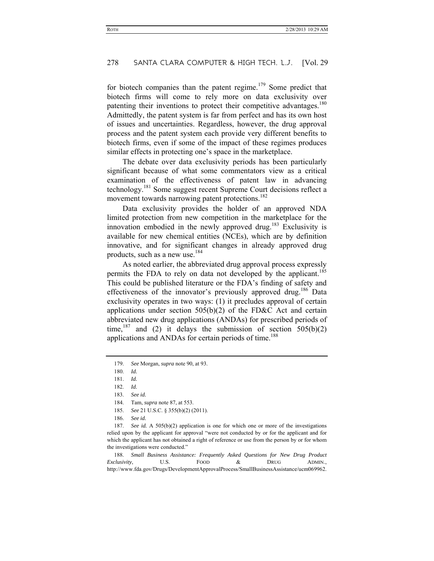for biotech companies than the patent regime.<sup>179</sup> Some predict that biotech firms will come to rely more on data exclusivity over patenting their inventions to protect their competitive advantages.<sup>180</sup> Admittedly, the patent system is far from perfect and has its own host of issues and uncertainties. Regardless, however, the drug approval process and the patent system each provide very different benefits to biotech firms, even if some of the impact of these regimes produces similar effects in protecting one's space in the marketplace.

The debate over data exclusivity periods has been particularly significant because of what some commentators view as a critical examination of the effectiveness of patent law in advancing technology.181 Some suggest recent Supreme Court decisions reflect a movement towards narrowing patent protections.<sup>182</sup>

Data exclusivity provides the holder of an approved NDA limited protection from new competition in the marketplace for the innovation embodied in the newly approved drug.<sup>183</sup> Exclusivity is available for new chemical entities (NCEs), which are by definition innovative, and for significant changes in already approved drug products, such as a new use.<sup>184</sup>

As noted earlier, the abbreviated drug approval process expressly permits the FDA to rely on data not developed by the applicant.<sup>185</sup> This could be published literature or the FDA's finding of safety and effectiveness of the innovator's previously approved drug.<sup>186</sup> Data exclusivity operates in two ways: (1) it precludes approval of certain applications under section  $505(b)(2)$  of the FD&C Act and certain abbreviated new drug applications (ANDAs) for prescribed periods of time,<sup>187</sup> and (2) it delays the submission of section  $505(b)(2)$ applications and ANDAs for certain periods of time.<sup>188</sup>

 187. *See id.* A 505(b)(2) application is one for which one or more of the investigations relied upon by the applicant for approval "were not conducted by or for the applicant and for which the applicant has not obtained a right of reference or use from the person by or for whom the investigations were conducted."

 188. *Small Business Assistance: Frequently Asked Questions for New Drug Product Exclusivity*, U.S. FOOD & DRUG ADMIN., http://www.fda.gov/Drugs/DevelopmentApprovalProcess/SmallBusinessAssistance/ucm069962.

 <sup>179.</sup> *See* Morgan, *supra* note 90, at 93.

 <sup>180.</sup> *Id.*

 <sup>181.</sup> *Id.*

 <sup>182.</sup> *Id.*

 <sup>183.</sup> *See id.*

 <sup>184.</sup> Tam, *supra* note 87, at 553.

 <sup>185.</sup> *See* 21 U.S.C. § 355(b)(2) (2011).

 <sup>186.</sup> *See id.*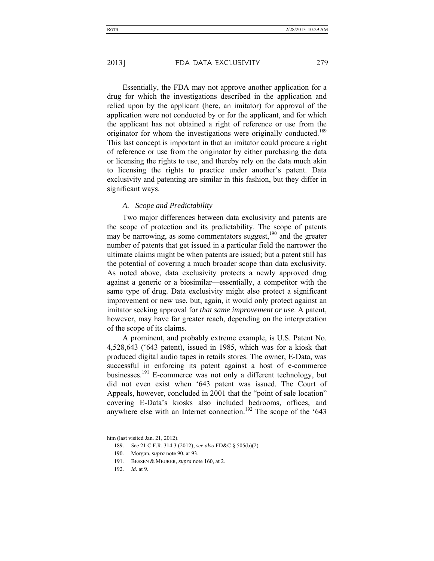Essentially, the FDA may not approve another application for a drug for which the investigations described in the application and relied upon by the applicant (here, an imitator) for approval of the application were not conducted by or for the applicant, and for which the applicant has not obtained a right of reference or use from the originator for whom the investigations were originally conducted.<sup>189</sup> This last concept is important in that an imitator could procure a right of reference or use from the originator by either purchasing the data or licensing the rights to use, and thereby rely on the data much akin to licensing the rights to practice under another's patent. Data exclusivity and patenting are similar in this fashion, but they differ in significant ways.

#### *A. Scope and Predictability*

Two major differences between data exclusivity and patents are the scope of protection and its predictability. The scope of patents may be narrowing, as some commentators suggest, $190$  and the greater number of patents that get issued in a particular field the narrower the ultimate claims might be when patents are issued; but a patent still has the potential of covering a much broader scope than data exclusivity. As noted above, data exclusivity protects a newly approved drug against a generic or a biosimilar—essentially, a competitor with the same type of drug. Data exclusivity might also protect a significant improvement or new use, but, again, it would only protect against an imitator seeking approval for *that same improvement or use*. A patent, however, may have far greater reach, depending on the interpretation of the scope of its claims.

A prominent, and probably extreme example, is U.S. Patent No. 4,528,643 ('643 patent), issued in 1985, which was for a kiosk that produced digital audio tapes in retails stores. The owner, E-Data, was successful in enforcing its patent against a host of e-commerce businesses.<sup>191</sup> E-commerce was not only a different technology, but did not even exist when '643 patent was issued. The Court of Appeals, however, concluded in 2001 that the "point of sale location" covering E-Data's kiosks also included bedrooms, offices, and anywhere else with an Internet connection.<sup>192</sup> The scope of the '643

htm (last visited Jan. 21, 2012).

 <sup>189.</sup> *See* 21 C.F.R. 314.3 (2012); *see also* FD&C § 505(b)(2).

 <sup>190.</sup> Morgan, *supra* note 90, at 93.

 <sup>191.</sup> BESSEN & MEURER, *supra* note 160, at 2.

 <sup>192.</sup> *Id.* at 9.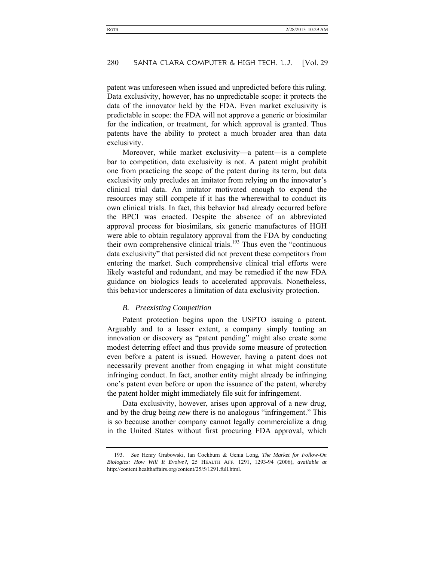patent was unforeseen when issued and unpredicted before this ruling. Data exclusivity, however, has no unpredictable scope: it protects the data of the innovator held by the FDA. Even market exclusivity is predictable in scope: the FDA will not approve a generic or biosimilar for the indication, or treatment, for which approval is granted. Thus patents have the ability to protect a much broader area than data exclusivity.

Moreover, while market exclusivity—a patent—is a complete bar to competition, data exclusivity is not. A patent might prohibit one from practicing the scope of the patent during its term, but data exclusivity only precludes an imitator from relying on the innovator's clinical trial data. An imitator motivated enough to expend the resources may still compete if it has the wherewithal to conduct its own clinical trials. In fact, this behavior had already occurred before the BPCI was enacted. Despite the absence of an abbreviated approval process for biosimilars, six generic manufactures of HGH were able to obtain regulatory approval from the FDA by conducting their own comprehensive clinical trials.<sup>193</sup> Thus even the "continuous" data exclusivity" that persisted did not prevent these competitors from entering the market. Such comprehensive clinical trial efforts were likely wasteful and redundant, and may be remedied if the new FDA guidance on biologics leads to accelerated approvals. Nonetheless, this behavior underscores a limitation of data exclusivity protection.

# *B. Preexisting Competition*

Patent protection begins upon the USPTO issuing a patent. Arguably and to a lesser extent, a company simply touting an innovation or discovery as "patent pending" might also create some modest deterring effect and thus provide some measure of protection even before a patent is issued. However, having a patent does not necessarily prevent another from engaging in what might constitute infringing conduct. In fact, another entity might already be infringing one's patent even before or upon the issuance of the patent, whereby the patent holder might immediately file suit for infringement.

Data exclusivity, however, arises upon approval of a new drug, and by the drug being *new* there is no analogous "infringement." This is so because another company cannot legally commercialize a drug in the United States without first procuring FDA approval, which

 <sup>193.</sup> *See* Henry Grabowski, Ian Cockburn & Genia Long, *The Market for Follow-On Biologics: How Will It Evolve?*, 25 HEALTH AFF. 1291, 1293-94 (2006), *available at*  http://content.healthaffairs.org/content/25/5/1291.full.html.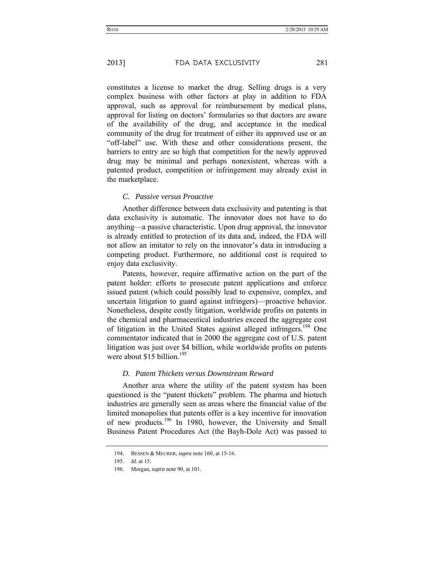constitutes a license to market the drug. Selling drugs is a very complex business with other factors at play in addition to FDA approval, such as approval for reimbursement by medical plans, approval for listing on doctors' formularies so that doctors are aware of the availability of the drug, and acceptance in the medical community of the drug for treatment of either its approved use or an "off-label" use. With these and other considerations present, the barriers to entry are so high that competition for the newly approved drug may be minimal and perhaps nonexistent, whereas with a patented product, competition or infringement may already exist in the marketplace.

# *C. Passive versus Proactive*

Another difference between data exclusivity and patenting is that data exclusivity is automatic. The innovator does not have to do anything—a passive characteristic. Upon drug approval, the innovator is already entitled to protection of its data and, indeed, the FDA will not allow an imitator to rely on the innovator's data in introducing a competing product. Furthermore, no additional cost is required to enjoy data exclusivity.

Patents, however, require affirmative action on the part of the patent holder: efforts to prosecute patent applications and enforce issued patent (which could possibly lead to expensive, complex, and uncertain litigation to guard against infringers)—proactive behavior. Nonetheless, despite costly litigation, worldwide profits on patents in the chemical and pharmaceutical industries exceed the aggregate cost of litigation in the United States against alleged infringers.<sup>194</sup> One commentator indicated that in 2000 the aggregate cost of U.S. patent litigation was just over \$4 billion, while worldwide profits on patents were about \$15 billion.<sup>195</sup>

# *D. Patent Thickets versus Downstream Reward*

Another area where the utility of the patent system has been questioned is the "patent thickets" problem. The pharma and biotech industries are generally seen as areas where the financial value of the limited monopolies that patents offer is a key incentive for innovation of new products.<sup>196</sup> In 1980, however, the University and Small Business Patent Procedures Act (the Bayh-Dole Act) was passed to

 <sup>194.</sup> BESSEN & MEURER, *supra* note 160, at 15-16.

 <sup>195.</sup> *Id.* at 15.

 <sup>196.</sup> Morgan, *supra* note 90, at 101.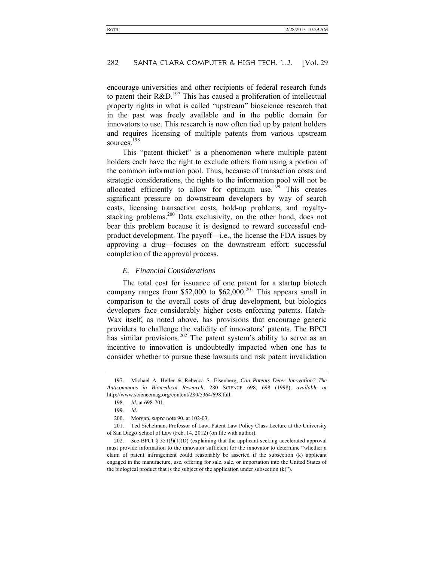encourage universities and other recipients of federal research funds to patent their  $R&D.<sup>197</sup>$  This has caused a proliferation of intellectual property rights in what is called "upstream" bioscience research that in the past was freely available and in the public domain for innovators to use. This research is now often tied up by patent holders and requires licensing of multiple patents from various upstream sources<sup>198</sup>

This "patent thicket" is a phenomenon where multiple patent holders each have the right to exclude others from using a portion of the common information pool. Thus, because of transaction costs and strategic considerations, the rights to the information pool will not be allocated efficiently to allow for optimum use.<sup>199</sup> This creates significant pressure on downstream developers by way of search costs, licensing transaction costs, hold-up problems, and royaltystacking problems.<sup>200</sup> Data exclusivity, on the other hand, does not bear this problem because it is designed to reward successful endproduct development. The payoff—i.e., the license the FDA issues by approving a drug—focuses on the downstream effort: successful completion of the approval process.

#### *E. Financial Considerations*

The total cost for issuance of one patent for a startup biotech company ranges from \$52,000 to  $$62,000$ <sup>201</sup> This appears small in comparison to the overall costs of drug development, but biologics developers face considerably higher costs enforcing patents. Hatch-Wax itself, as noted above, has provisions that encourage generic providers to challenge the validity of innovators' patents. The BPCI has similar provisions.<sup>202</sup> The patent system's ability to serve as an incentive to innovation is undoubtedly impacted when one has to consider whether to pursue these lawsuits and risk patent invalidation

 <sup>197.</sup> Michael A. Heller & Rebecca S. Eisenberg, *Can Patents Deter Innovation? The Anticommons in Biomedical Research*, 280 SCIENCE 698, 698 (1998), *available at* http://www.sciencemag.org/content/280/5364/698.full.

 <sup>198.</sup> *Id.* at 698-701.

 <sup>199.</sup> *Id.*

 <sup>200.</sup> Morgan, *supra* note 90, at 102-03.

 <sup>201.</sup> Ted Sichelman, Professor of Law, Patent Law Policy Class Lecture at the University of San Diego School of Law (Feb. 14, 2012) (on file with author).

 <sup>202.</sup> *See* BPCI § 351(*l*)(1)(D) (explaining that the applicant seeking accelerated approval must provide information to the innovator sufficient for the innovator to determine "whether a claim of patent infringement could reasonably be asserted if the subsection (k) applicant engaged in the manufacture, use, offering for sale, sale, or importation into the United States of the biological product that is the subject of the application under subsection (k)").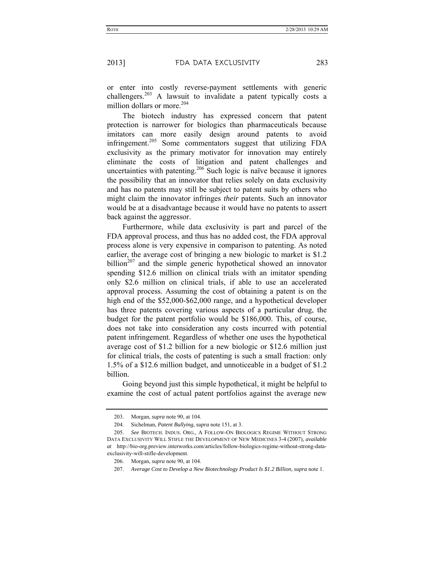or enter into costly reverse-payment settlements with generic challengers.<sup>203</sup> A lawsuit to invalidate a patent typically costs a million dollars or more.<sup>204</sup>

The biotech industry has expressed concern that patent protection is narrower for biologics than pharmaceuticals because imitators can more easily design around patents to avoid infringement.<sup>205</sup> Some commentators suggest that utilizing FDA exclusivity as the primary motivator for innovation may entirely eliminate the costs of litigation and patent challenges and uncertainties with patenting.<sup>206</sup> Such logic is naïve because it ignores the possibility that an innovator that relies solely on data exclusivity and has no patents may still be subject to patent suits by others who might claim the innovator infringes *their* patents. Such an innovator would be at a disadvantage because it would have no patents to assert back against the aggressor.

Furthermore, while data exclusivity is part and parcel of the FDA approval process, and thus has no added cost, the FDA approval process alone is very expensive in comparison to patenting. As noted earlier, the average cost of bringing a new biologic to market is \$1.2 billion<sup>207</sup> and the simple generic hypothetical showed an innovator spending \$12.6 million on clinical trials with an imitator spending only \$2.6 million on clinical trials, if able to use an accelerated approval process. Assuming the cost of obtaining a patent is on the high end of the \$52,000-\$62,000 range, and a hypothetical developer has three patents covering various aspects of a particular drug, the budget for the patent portfolio would be \$186,000. This, of course, does not take into consideration any costs incurred with potential patent infringement. Regardless of whether one uses the hypothetical average cost of \$1.2 billion for a new biologic or \$12.6 million just for clinical trials, the costs of patenting is such a small fraction: only 1.5% of a \$12.6 million budget, and unnoticeable in a budget of \$1.2 billion.

Going beyond just this simple hypothetical, it might be helpful to examine the cost of actual patent portfolios against the average new

 <sup>203.</sup> Morgan, *supra* note 90, at 104.

 <sup>204.</sup> Sichelman, *Patent Bullying, supra* note 151, at 3.

 <sup>205.</sup> *See* BIOTECH. INDUS. ORG., A FOLLOW-ON BIOLOGICS REGIME WITHOUT STRONG DATA EXCLUSIVITY WILL STIFLE THE DEVELOPMENT OF NEW MEDICINES 3-4 (2007), *available at* http://bio-org.preview.interworks.com/articles/follow-biologics-regime-without-strong-dataexclusivity-will-stifle-development.

 <sup>206.</sup> Morgan, *supra* note 90, at 104.

 <sup>207.</sup> *Average Cost to Develop a New Biotechnology Product Is \$1.2 Billion, supra* note 1.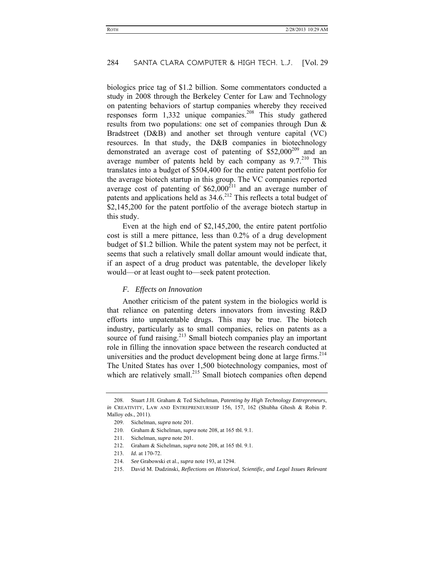biologics price tag of \$1.2 billion. Some commentators conducted a study in 2008 through the Berkeley Center for Law and Technology on patenting behaviors of startup companies whereby they received responses form  $1,332$  unique companies.<sup>208</sup> This study gathered results from two populations: one set of companies through Dun & Bradstreet (D&B) and another set through venture capital (VC) resources. In that study, the D&B companies in biotechnology demonstrated an average cost of patenting of  $$52,000^{209}$  and an average number of patents held by each company as  $9.7^{210}$  This translates into a budget of \$504,400 for the entire patent portfolio for the average biotech startup in this group. The VC companies reported average cost of patenting of  $$62,000^{211}$  and an average number of patents and applications held as  $34.6$ <sup>212</sup> This reflects a total budget of \$2,145,200 for the patent portfolio of the average biotech startup in this study.

Even at the high end of \$2,145,200, the entire patent portfolio cost is still a mere pittance, less than 0.2% of a drug development budget of \$1.2 billion. While the patent system may not be perfect, it seems that such a relatively small dollar amount would indicate that, if an aspect of a drug product was patentable, the developer likely would—or at least ought to—seek patent protection.

#### *F. Effects on Innovation*

Another criticism of the patent system in the biologics world is that reliance on patenting deters innovators from investing R&D efforts into unpatentable drugs. This may be true. The biotech industry, particularly as to small companies, relies on patents as a source of fund raising.<sup>213</sup> Small biotech companies play an important role in filling the innovation space between the research conducted at universities and the product development being done at large firms. $214$ The United States has over 1,500 biotechnology companies, most of which are relatively small.<sup>215</sup> Small biotech companies often depend

- 210. Graham & Sichelman, *supra* note 208, at 165 tbl. 9.1.
- 211. Sichelman, *supra* note 201.
- 212. Graham & Sichelman, *supra* note 208, at 165 tbl. 9.1.
- 213. *Id.* at 170-72.
- 214. *See* Grabowski et al., *supra* note 193, at 1294.
- 215. David M. Dudzinski, *Reflections on Historical, Scientific, and Legal Issues Relevant*

 <sup>208.</sup> Stuart J.H. Graham & Ted Sichelman, *Patenting by High Technology Entrepreneurs*, *in* CREATIVITY, LAW AND ENTREPRENEURSHIP 156, 157, 162 (Shubha Ghosh & Robin P. Malloy eds., 2011).

 <sup>209.</sup> Sichelman, *supra* note 201.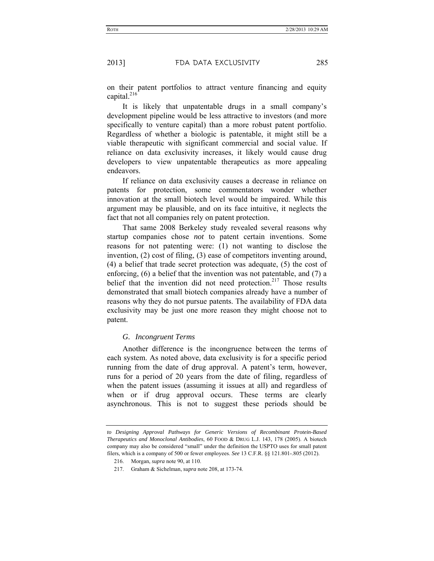on their patent portfolios to attract venture financing and equity capital.<sup>216</sup>

It is likely that unpatentable drugs in a small company's development pipeline would be less attractive to investors (and more specifically to venture capital) than a more robust patent portfolio. Regardless of whether a biologic is patentable, it might still be a viable therapeutic with significant commercial and social value. If reliance on data exclusivity increases, it likely would cause drug developers to view unpatentable therapeutics as more appealing endeavors.

If reliance on data exclusivity causes a decrease in reliance on patents for protection, some commentators wonder whether innovation at the small biotech level would be impaired. While this argument may be plausible, and on its face intuitive, it neglects the fact that not all companies rely on patent protection.

That same 2008 Berkeley study revealed several reasons why startup companies chose *not* to patent certain inventions. Some reasons for not patenting were: (1) not wanting to disclose the invention, (2) cost of filing, (3) ease of competitors inventing around, (4) a belief that trade secret protection was adequate, (5) the cost of enforcing, (6) a belief that the invention was not patentable, and (7) a belief that the invention did not need protection.<sup>217</sup> Those results demonstrated that small biotech companies already have a number of reasons why they do not pursue patents. The availability of FDA data exclusivity may be just one more reason they might choose not to patent.

#### *G. Incongruent Terms*

Another difference is the incongruence between the terms of each system. As noted above, data exclusivity is for a specific period running from the date of drug approval. A patent's term, however, runs for a period of 20 years from the date of filing, regardless of when the patent issues (assuming it issues at all) and regardless of when or if drug approval occurs. These terms are clearly asynchronous. This is not to suggest these periods should be

*to Designing Approval Pathways for Generic Versions of Recombinant Protein-Based Therapeutics and Monoclonal Antibodies*, 60 FOOD & DRUG L.J. 143, 178 (2005). A biotech company may also be considered "small" under the definition the USPTO uses for small patent filers, which is a company of 500 or fewer employees. *See* 13 C.F.R. §§ 121.801-.805 (2012).

 <sup>216.</sup> Morgan, *supra* note 90, at 110.

 <sup>217.</sup> Graham & Sichelman, *supra* note 208, at 173-74.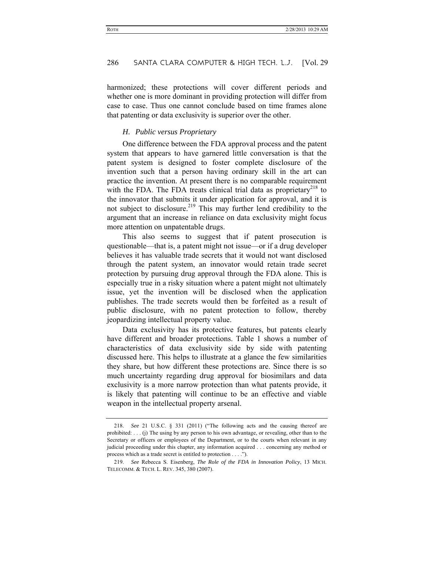harmonized; these protections will cover different periods and whether one is more dominant in providing protection will differ from case to case. Thus one cannot conclude based on time frames alone that patenting or data exclusivity is superior over the other.

#### *H. Public versus Proprietary*

One difference between the FDA approval process and the patent system that appears to have garnered little conversation is that the patent system is designed to foster complete disclosure of the invention such that a person having ordinary skill in the art can practice the invention. At present there is no comparable requirement with the FDA. The FDA treats clinical trial data as proprietary<sup>218</sup> to the innovator that submits it under application for approval, and it is not subject to disclosure.<sup>219</sup> This may further lend credibility to the argument that an increase in reliance on data exclusivity might focus more attention on unpatentable drugs.

This also seems to suggest that if patent prosecution is questionable—that is, a patent might not issue—or if a drug developer believes it has valuable trade secrets that it would not want disclosed through the patent system, an innovator would retain trade secret protection by pursuing drug approval through the FDA alone. This is especially true in a risky situation where a patent might not ultimately issue, yet the invention will be disclosed when the application publishes. The trade secrets would then be forfeited as a result of public disclosure, with no patent protection to follow, thereby jeopardizing intellectual property value.

Data exclusivity has its protective features, but patents clearly have different and broader protections. Table 1 shows a number of characteristics of data exclusivity side by side with patenting discussed here. This helps to illustrate at a glance the few similarities they share, but how different these protections are. Since there is so much uncertainty regarding drug approval for biosimilars and data exclusivity is a more narrow protection than what patents provide, it is likely that patenting will continue to be an effective and viable weapon in the intellectual property arsenal.

 <sup>218.</sup> *See* 21 U.S.C. § 331 (2011) ("The following acts and the causing thereof are prohibited: . . . (j) The using by any person to his own advantage, or revealing, other than to the Secretary or officers or employees of the Department, or to the courts when relevant in any judicial proceeding under this chapter, any information acquired . . . concerning any method or process which as a trade secret is entitled to protection . . . .").

 <sup>219.</sup> *See* Rebecca S. Eisenberg, *The Role of the FDA in Innovation Policy*, 13 MICH. TELECOMM. & TECH. L. REV. 345, 380 (2007).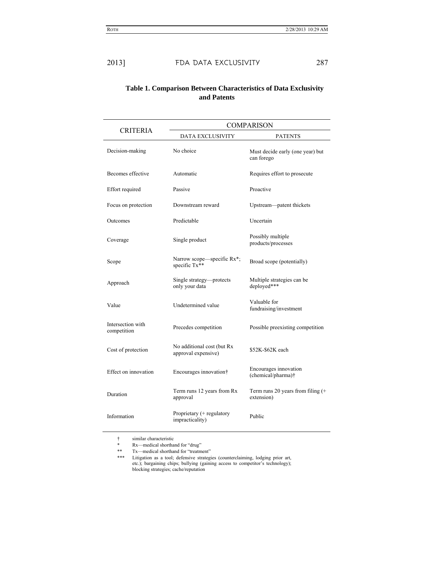| Table 1. Comparison Between Characteristics of Data Exclusivity |
|-----------------------------------------------------------------|
| and Patents                                                     |

| <b>CRITERIA</b>                  | <b>COMPARISON</b>                                 |                                                    |  |
|----------------------------------|---------------------------------------------------|----------------------------------------------------|--|
|                                  | DATA EXCLUSIVITY                                  | <b>PATENTS</b>                                     |  |
| Decision-making                  | No choice                                         | Must decide early (one year) but<br>can forego     |  |
| Becomes effective                | Automatic                                         | Requires effort to prosecute                       |  |
| Effort required                  | Passive                                           | Proactive                                          |  |
| Focus on protection              | Downstream reward                                 | Upstream-patent thickets                           |  |
| Outcomes                         | Predictable                                       | Uncertain                                          |  |
| Coverage                         | Single product                                    | Possibly multiple<br>products/processes            |  |
| Scope                            | Narrow scope—specific Rx*;<br>specific Tx**       | Broad scope (potentially)                          |  |
| Approach                         | Single strategy—protects<br>only your data        | Multiple strategies can be<br>deployed***          |  |
| Value                            | Undetermined value                                | Valuable for<br>fundraising/investment             |  |
| Intersection with<br>competition | Precedes competition                              | Possible preexisting competition                   |  |
| Cost of protection               | No additional cost (but Rx<br>approval expensive) | \$52K-\$62K each                                   |  |
| Effect on innovation             | Encourages innovation†                            | Encourages innovation<br>(chemical/pharma)†        |  |
| Duration                         | Term runs 12 years from Rx<br>approval            | Term runs 20 years from filing $(+)$<br>extension) |  |
| Information                      | Proprietary (+ regulatory<br>impracticality)      | Public                                             |  |

<sup>†</sup> similar characteristic

<sup>\*</sup> Rx—medical shorthand for "drug"<br>\*\* Tx—medical shorthand for "treatm

Tx—medical shorthand for "treatment"

<sup>\*\*\*</sup> Litigation as a tool; defensive strategies (counterclaiming, lodging prior art, etc.); bargaining chips; bullying (gaining access to competitor's technology); blocking strategies; cache/reputation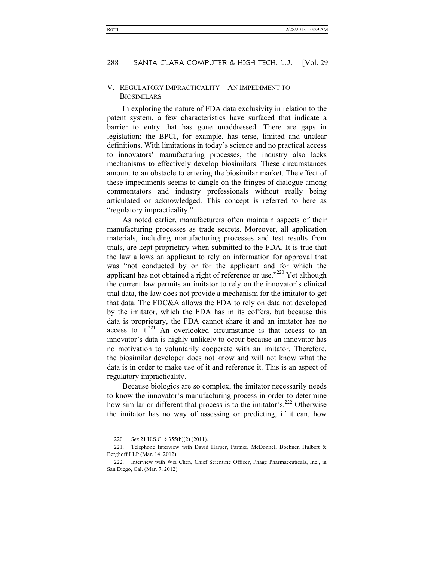#### V. REGULATORY IMPRACTICALITY—AN IMPEDIMENT TO **BIOSIMILARS**

In exploring the nature of FDA data exclusivity in relation to the patent system, a few characteristics have surfaced that indicate a barrier to entry that has gone unaddressed. There are gaps in legislation: the BPCI, for example, has terse, limited and unclear definitions. With limitations in today's science and no practical access to innovators' manufacturing processes, the industry also lacks mechanisms to effectively develop biosimilars. These circumstances amount to an obstacle to entering the biosimilar market. The effect of these impediments seems to dangle on the fringes of dialogue among commentators and industry professionals without really being articulated or acknowledged. This concept is referred to here as "regulatory impracticality."

As noted earlier, manufacturers often maintain aspects of their manufacturing processes as trade secrets. Moreover, all application materials, including manufacturing processes and test results from trials, are kept proprietary when submitted to the FDA. It is true that the law allows an applicant to rely on information for approval that was "not conducted by or for the applicant and for which the applicant has not obtained a right of reference or use."<sup>220</sup> Yet although the current law permits an imitator to rely on the innovator's clinical trial data, the law does not provide a mechanism for the imitator to get that data. The FDC&A allows the FDA to rely on data not developed by the imitator, which the FDA has in its coffers, but because this data is proprietary, the FDA cannot share it and an imitator has no access to it.<sup>221</sup> An overlooked circumstance is that access to an innovator's data is highly unlikely to occur because an innovator has no motivation to voluntarily cooperate with an imitator. Therefore, the biosimilar developer does not know and will not know what the data is in order to make use of it and reference it. This is an aspect of regulatory impracticality.

Because biologics are so complex, the imitator necessarily needs to know the innovator's manufacturing process in order to determine how similar or different that process is to the imitator's.<sup>222</sup> Otherwise the imitator has no way of assessing or predicting, if it can, how

 <sup>220.</sup> *See* 21 U.S.C. § 355(b)(2) (2011).

<sup>221.</sup> Telephone Interview with David Harper, Partner, McDonnell Boehnen Hulbert  $\&$ Berghoff LLP (Mar. 14, 2012).

 <sup>222.</sup> Interview with Wei Chen, Chief Scientific Officer, Phage Pharmaceuticals, Inc., in San Diego, Cal. (Mar. 7, 2012).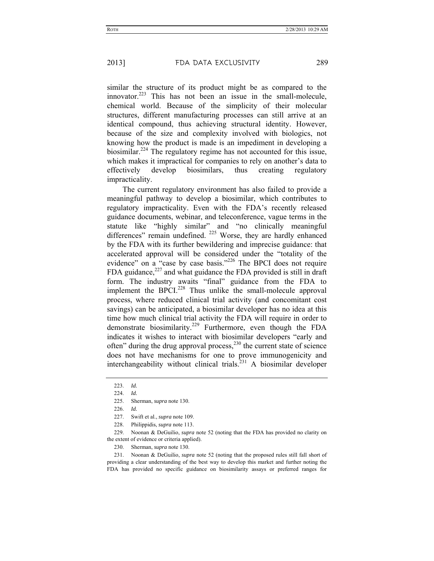similar the structure of its product might be as compared to the innovator.<sup>223</sup> This has not been an issue in the small-molecule, chemical world. Because of the simplicity of their molecular structures, different manufacturing processes can still arrive at an identical compound, thus achieving structural identity. However, because of the size and complexity involved with biologics, not knowing how the product is made is an impediment in developing a biosimilar.224 The regulatory regime has not accounted for this issue, which makes it impractical for companies to rely on another's data to effectively develop biosimilars, thus creating regulatory impracticality.

The current regulatory environment has also failed to provide a meaningful pathway to develop a biosimilar, which contributes to regulatory impracticality. Even with the FDA's recently released guidance documents, webinar, and teleconference, vague terms in the statute like "highly similar" and "no clinically meaningful differences" remain undefined. <sup>225</sup> Worse, they are hardly enhanced by the FDA with its further bewildering and imprecise guidance: that accelerated approval will be considered under the "totality of the evidence" on a "case by case basis."<sup>226</sup> The BPCI does not require FDA guidance, $227$  and what guidance the FDA provided is still in draft form. The industry awaits "final" guidance from the FDA to implement the BPCI $^{228}$  Thus unlike the small-molecule approval process, where reduced clinical trial activity (and concomitant cost savings) can be anticipated, a biosimilar developer has no idea at this time how much clinical trial activity the FDA will require in order to demonstrate biosimilarity.<sup>229</sup> Furthermore, even though the FDA indicates it wishes to interact with biosimilar developers "early and often" during the drug approval process,<sup>230</sup> the current state of science does not have mechanisms for one to prove immunogenicity and interchangeability without clinical trials.<sup> $231$ </sup> A biosimilar developer

230. Sherman, *supra* note 130.

 231. Noonan & DeGuilio, *supra* note 52 (noting that the proposed rules still fall short of providing a clear understanding of the best way to develop this market and further noting the FDA has provided no specific guidance on biosimilarity assays or preferred ranges for

 <sup>223.</sup> *Id.*

 <sup>224.</sup> *Id.*

 <sup>225.</sup> Sherman, *supra* note 130.

 <sup>226.</sup> *Id.*

 <sup>227.</sup> Swift et al., *supra* note 109.

 <sup>228.</sup> Philippidis, *supra* note 113.

 <sup>229.</sup> Noonan & DeGuilio, *supra* note 52 (noting that the FDA has provided no clarity on the extent of evidence or criteria applied).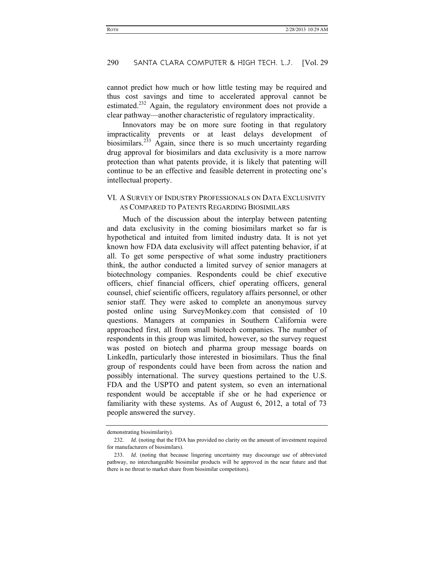cannot predict how much or how little testing may be required and thus cost savings and time to accelerated approval cannot be estimated.<sup>232</sup> Again, the regulatory environment does not provide a clear pathway—another characteristic of regulatory impracticality.

Innovators may be on more sure footing in that regulatory impracticality prevents or at least delays development of biosimilars.<sup>233</sup> Again, since there is so much uncertainty regarding drug approval for biosimilars and data exclusivity is a more narrow protection than what patents provide, it is likely that patenting will continue to be an effective and feasible deterrent in protecting one's intellectual property.

# VI. A SURVEY OF INDUSTRY PROFESSIONALS ON DATA EXCLUSIVITY AS COMPARED TO PATENTS REGARDING BIOSIMILARS

Much of the discussion about the interplay between patenting and data exclusivity in the coming biosimilars market so far is hypothetical and intuited from limited industry data. It is not yet known how FDA data exclusivity will affect patenting behavior, if at all. To get some perspective of what some industry practitioners think, the author conducted a limited survey of senior managers at biotechnology companies. Respondents could be chief executive officers, chief financial officers, chief operating officers, general counsel, chief scientific officers, regulatory affairs personnel, or other senior staff. They were asked to complete an anonymous survey posted online using SurveyMonkey.com that consisted of 10 questions. Managers at companies in Southern California were approached first, all from small biotech companies. The number of respondents in this group was limited, however, so the survey request was posted on biotech and pharma group message boards on LinkedIn, particularly those interested in biosimilars. Thus the final group of respondents could have been from across the nation and possibly international. The survey questions pertained to the U.S. FDA and the USPTO and patent system, so even an international respondent would be acceptable if she or he had experience or familiarity with these systems. As of August 6, 2012, a total of 73 people answered the survey.

demonstrating biosimilarity).

 <sup>232.</sup> *Id.* (noting that the FDA has provided no clarity on the amount of investment required for manufacturers of biosimilars).

 <sup>233.</sup> *Id.* (noting that because lingering uncertainty may discourage use of abbreviated pathway, no interchangeable biosimilar products will be approved in the near future and that there is no threat to market share from biosimilar competitors).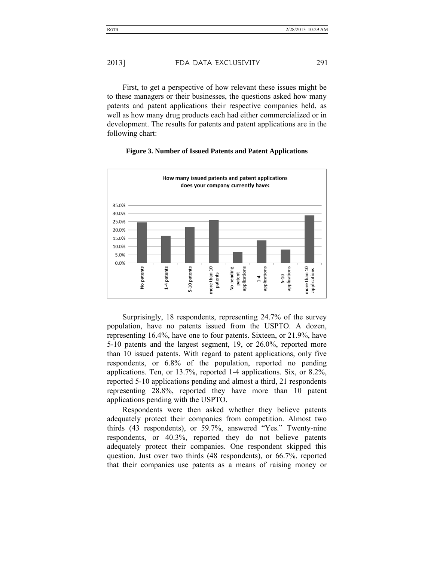First, to get a perspective of how relevant these issues might be to these managers or their businesses, the questions asked how many patents and patent applications their respective companies held, as well as how many drug products each had either commercialized or in development. The results for patents and patent applications are in the following chart:



#### **Figure 3. Number of Issued Patents and Patent Applications**

Surprisingly, 18 respondents, representing 24.7% of the survey population, have no patents issued from the USPTO. A dozen, representing 16.4%, have one to four patents. Sixteen, or 21.9%, have 5-10 patents and the largest segment, 19, or 26.0%, reported more than 10 issued patents. With regard to patent applications, only five respondents, or 6.8% of the population, reported no pending applications. Ten, or 13.7%, reported 1-4 applications. Six, or 8.2%, reported 5-10 applications pending and almost a third, 21 respondents representing 28.8%, reported they have more than 10 patent applications pending with the USPTO.

Respondents were then asked whether they believe patents adequately protect their companies from competition. Almost two thirds (43 respondents), or 59.7%, answered "Yes." Twenty-nine respondents, or 40.3%, reported they do not believe patents adequately protect their companies. One respondent skipped this question. Just over two thirds (48 respondents), or 66.7%, reported that their companies use patents as a means of raising money or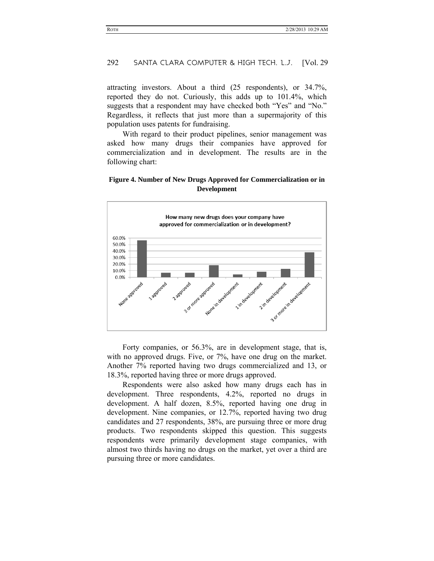attracting investors. About a third (25 respondents), or 34.7%, reported they do not. Curiously, this adds up to 101.4%, which suggests that a respondent may have checked both "Yes" and "No." Regardless, it reflects that just more than a supermajority of this population uses patents for fundraising.

With regard to their product pipelines, senior management was asked how many drugs their companies have approved for commercialization and in development. The results are in the following chart:

#### **Figure 4. Number of New Drugs Approved for Commercialization or in Development**



Forty companies, or 56.3%, are in development stage, that is, with no approved drugs. Five, or 7%, have one drug on the market. Another 7% reported having two drugs commercialized and 13, or 18.3%, reported having three or more drugs approved.

Respondents were also asked how many drugs each has in development. Three respondents, 4.2%, reported no drugs in development. A half dozen, 8.5%, reported having one drug in development. Nine companies, or 12.7%, reported having two drug candidates and 27 respondents, 38%, are pursuing three or more drug products. Two respondents skipped this question. This suggests respondents were primarily development stage companies, with almost two thirds having no drugs on the market, yet over a third are pursuing three or more candidates.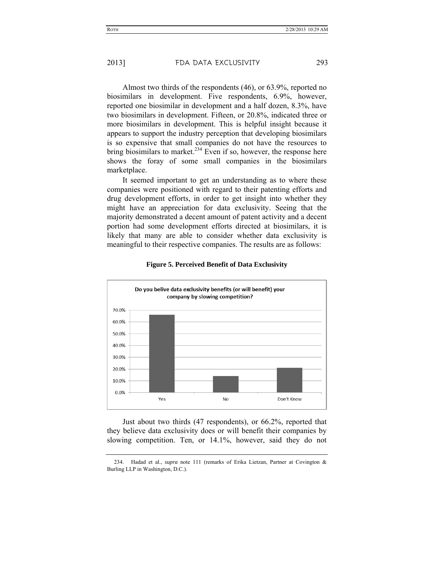Almost two thirds of the respondents (46), or 63.9%, reported no biosimilars in development. Five respondents, 6.9%, however, reported one biosimilar in development and a half dozen, 8.3%, have two biosimilars in development. Fifteen, or 20.8%, indicated three or more biosimilars in development. This is helpful insight because it appears to support the industry perception that developing biosimilars is so expensive that small companies do not have the resources to bring biosimilars to market.<sup>234</sup> Even if so, however, the response here shows the foray of some small companies in the biosimilars marketplace.

It seemed important to get an understanding as to where these companies were positioned with regard to their patenting efforts and drug development efforts, in order to get insight into whether they might have an appreciation for data exclusivity. Seeing that the majority demonstrated a decent amount of patent activity and a decent portion had some development efforts directed at biosimilars, it is likely that many are able to consider whether data exclusivity is meaningful to their respective companies. The results are as follows:



#### **Figure 5. Perceived Benefit of Data Exclusivity**

Just about two thirds (47 respondents), or 66.2%, reported that they believe data exclusivity does or will benefit their companies by slowing competition. Ten, or 14.1%, however, said they do not

 <sup>234.</sup> Hadad et al., *supra* note 111 (remarks of Erika Lietzan, Partner at Covington & Burling LLP in Washington, D.C.).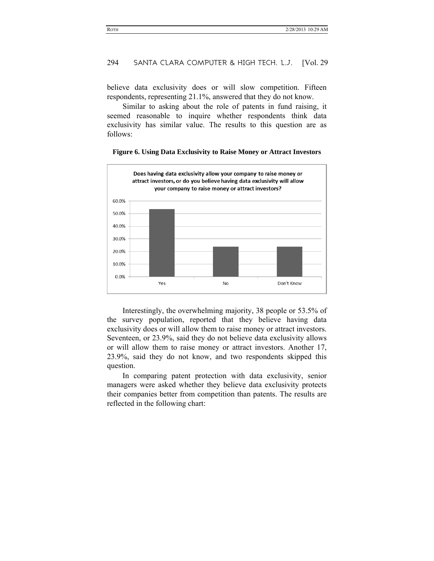believe data exclusivity does or will slow competition. Fifteen respondents, representing 21.1%, answered that they do not know.

Similar to asking about the role of patents in fund raising, it seemed reasonable to inquire whether respondents think data exclusivity has similar value. The results to this question are as follows:



#### **Figure 6. Using Data Exclusivity to Raise Money or Attract Investors**

Interestingly, the overwhelming majority, 38 people or 53.5% of the survey population, reported that they believe having data exclusivity does or will allow them to raise money or attract investors. Seventeen, or 23.9%, said they do not believe data exclusivity allows or will allow them to raise money or attract investors. Another 17, 23.9%, said they do not know, and two respondents skipped this question.

In comparing patent protection with data exclusivity, senior managers were asked whether they believe data exclusivity protects their companies better from competition than patents. The results are reflected in the following chart: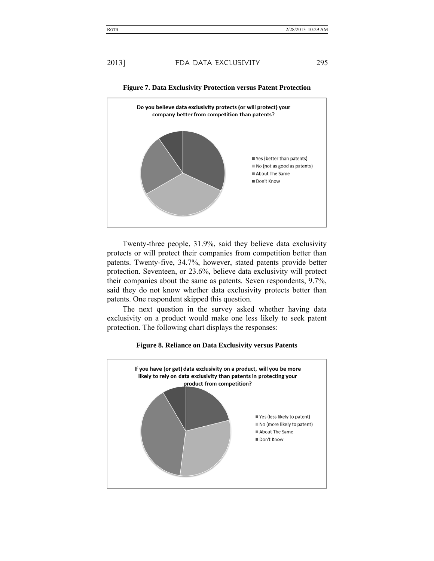

**Figure 7. Data Exclusivity Protection versus Patent Protection** 

Twenty-three people, 31.9%, said they believe data exclusivity protects or will protect their companies from competition better than patents. Twenty-five, 34.7%, however, stated patents provide better protection. Seventeen, or 23.6%, believe data exclusivity will protect their companies about the same as patents. Seven respondents, 9.7%, said they do not know whether data exclusivity protects better than patents. One respondent skipped this question.

The next question in the survey asked whether having data exclusivity on a product would make one less likely to seek patent protection. The following chart displays the responses:



#### **Figure 8. Reliance on Data Exclusivity versus Patents**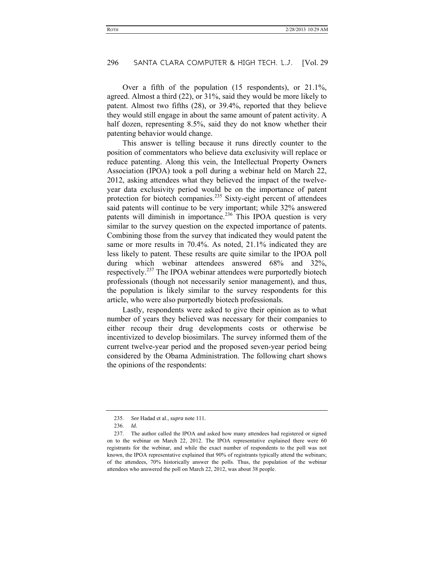Over a fifth of the population (15 respondents), or 21.1%, agreed. Almost a third (22), or 31%, said they would be more likely to patent. Almost two fifths (28), or 39.4%, reported that they believe they would still engage in about the same amount of patent activity. A half dozen, representing 8.5%, said they do not know whether their patenting behavior would change.

This answer is telling because it runs directly counter to the position of commentators who believe data exclusivity will replace or reduce patenting. Along this vein, the Intellectual Property Owners Association (IPOA) took a poll during a webinar held on March 22, 2012, asking attendees what they believed the impact of the twelveyear data exclusivity period would be on the importance of patent protection for biotech companies.<sup>235</sup> Sixty-eight percent of attendees said patents will continue to be very important; while 32% answered patents will diminish in importance.<sup>236</sup> This IPOA question is very similar to the survey question on the expected importance of patents. Combining those from the survey that indicated they would patent the same or more results in 70.4%. As noted, 21.1% indicated they are less likely to patent. These results are quite similar to the IPOA poll during which webinar attendees answered 68% and 32%, respectively.<sup>237</sup> The IPOA webinar attendees were purportedly biotech professionals (though not necessarily senior management), and thus, the population is likely similar to the survey respondents for this article, who were also purportedly biotech professionals.

Lastly, respondents were asked to give their opinion as to what number of years they believed was necessary for their companies to either recoup their drug developments costs or otherwise be incentivized to develop biosimilars. The survey informed them of the current twelve-year period and the proposed seven-year period being considered by the Obama Administration. The following chart shows the opinions of the respondents:

 <sup>235.</sup> *See* Hadad et al., *supra* note 111*.*

 <sup>236.</sup> *Id.*

 <sup>237.</sup> The author called the IPOA and asked how many attendees had registered or signed on to the webinar on March 22, 2012. The IPOA representative explained there were 60 registrants for the webinar, and while the exact number of respondents to the poll was not known, the IPOA representative explained that 90% of registrants typically attend the webinars; of the attendees, 70% historically answer the polls. Thus, the population of the webinar attendees who answered the poll on March 22, 2012, was about 38 people.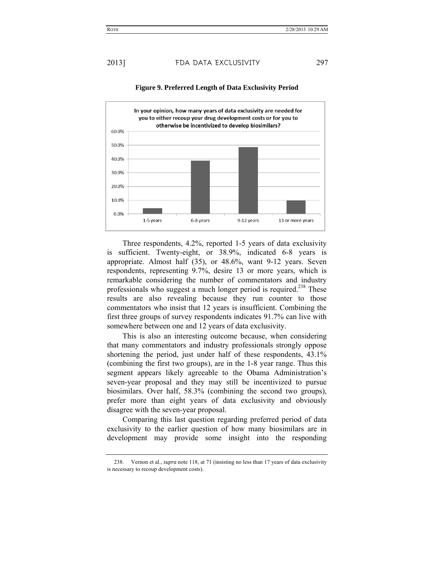

#### **Figure 9. Preferred Length of Data Exclusivity Period**

Three respondents, 4.2%, reported 1-5 years of data exclusivity is sufficient. Twenty-eight, or 38.9%, indicated 6-8 years is appropriate. Almost half (35), or 48.6%, want 9-12 years. Seven respondents, representing 9.7%, desire 13 or more years, which is remarkable considering the number of commentators and industry professionals who suggest a much longer period is required.<sup>238</sup> These results are also revealing because they run counter to those commentators who insist that 12 years is insufficient. Combining the first three groups of survey respondents indicates 91.7% can live with somewhere between one and 12 years of data exclusivity.

This is also an interesting outcome because, when considering that many commentators and industry professionals strongly oppose shortening the period, just under half of these respondents, 43.1% (combining the first two groups), are in the 1-8 year range. Thus this segment appears likely agreeable to the Obama Administration's seven-year proposal and they may still be incentivized to pursue biosimilars. Over half, 58.3% (combining the second two groups), prefer more than eight years of data exclusivity and obviously disagree with the seven-year proposal.

Comparing this last question regarding preferred period of data exclusivity to the earlier question of how many biosimilars are in development may provide some insight into the responding

 <sup>238.</sup> Vernon et al., *supra* note 118, at 71 (insisting no less than 17 years of data exclusivity is necessary to recoup development costs).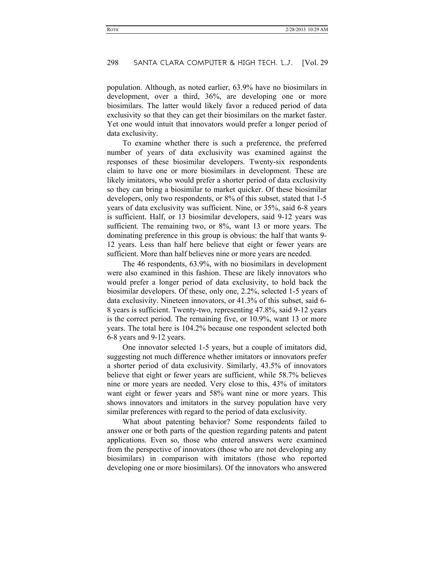population. Although, as noted earlier, 63.9% have no biosimilars in development, over a third, 36%, are developing one or more biosimilars. The latter would likely favor a reduced period of data exclusivity so that they can get their biosimilars on the market faster. Yet one would intuit that innovators would prefer a longer period of data exclusivity.

To examine whether there is such a preference, the preferred number of years of data exclusivity was examined against the responses of these biosimilar developers. Twenty-six respondents claim to have one or more biosimilars in development. These are likely imitators, who would prefer a shorter period of data exclusivity so they can bring a biosimilar to market quicker. Of these biosimilar developers, only two respondents, or 8% of this subset, stated that 1-5 years of data exclusivity was sufficient. Nine, or 35%, said 6-8 years is sufficient. Half, or 13 biosimilar developers, said 9-12 years was sufficient. The remaining two, or 8%, want 13 or more years. The dominating preference in this group is obvious: the half that wants 9- 12 years. Less than half here believe that eight or fewer years are sufficient. More than half believes nine or more years are needed.

The 46 respondents, 63.9%, with no biosimilars in development were also examined in this fashion. These are likely innovators who would prefer a longer period of data exclusivity, to hold back the biosimilar developers. Of these, only one, 2.2%, selected 1-5 years of data exclusivity. Nineteen innovators, or 41.3% of this subset, said 6- 8 years is sufficient. Twenty-two, representing 47.8%, said 9-12 years is the correct period. The remaining five, or 10.9%, want 13 or more years. The total here is 104.2% because one respondent selected both 6-8 years and 9-12 years.

One innovator selected 1-5 years, but a couple of imitators did, suggesting not much difference whether imitators or innovators prefer a shorter period of data exclusivity. Similarly, 43.5% of innovators believe that eight or fewer years are sufficient, while 58.7% believes nine or more years are needed. Very close to this, 43% of imitators want eight or fewer years and 58% want nine or more years. This shows innovators and imitators in the survey population have very similar preferences with regard to the period of data exclusivity.

What about patenting behavior? Some respondents failed to answer one or both parts of the question regarding patents and patent applications. Even so, those who entered answers were examined from the perspective of innovators (those who are not developing any biosimilars) in comparison with imitators (those who reported developing one or more biosimilars). Of the innovators who answered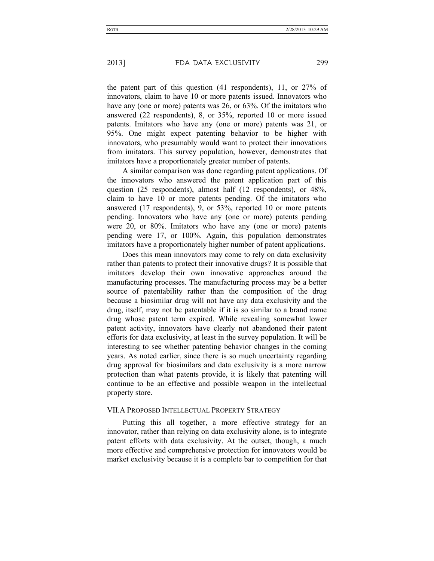the patent part of this question (41 respondents), 11, or 27% of innovators, claim to have 10 or more patents issued. Innovators who have any (one or more) patents was 26, or 63%. Of the imitators who answered (22 respondents), 8, or 35%, reported 10 or more issued patents. Imitators who have any (one or more) patents was 21, or 95%. One might expect patenting behavior to be higher with innovators, who presumably would want to protect their innovations from imitators. This survey population, however, demonstrates that imitators have a proportionately greater number of patents.

A similar comparison was done regarding patent applications. Of the innovators who answered the patent application part of this question (25 respondents), almost half (12 respondents), or 48%, claim to have 10 or more patents pending. Of the imitators who answered (17 respondents), 9, or 53%, reported 10 or more patents pending. Innovators who have any (one or more) patents pending were 20, or 80%. Imitators who have any (one or more) patents pending were 17, or 100%. Again, this population demonstrates imitators have a proportionately higher number of patent applications.

Does this mean innovators may come to rely on data exclusivity rather than patents to protect their innovative drugs? It is possible that imitators develop their own innovative approaches around the manufacturing processes. The manufacturing process may be a better source of patentability rather than the composition of the drug because a biosimilar drug will not have any data exclusivity and the drug, itself, may not be patentable if it is so similar to a brand name drug whose patent term expired. While revealing somewhat lower patent activity, innovators have clearly not abandoned their patent efforts for data exclusivity, at least in the survey population. It will be interesting to see whether patenting behavior changes in the coming years. As noted earlier, since there is so much uncertainty regarding drug approval for biosimilars and data exclusivity is a more narrow protection than what patents provide, it is likely that patenting will continue to be an effective and possible weapon in the intellectual property store.

#### VII.A PROPOSED INTELLECTUAL PROPERTY STRATEGY

Putting this all together, a more effective strategy for an innovator, rather than relying on data exclusivity alone, is to integrate patent efforts with data exclusivity. At the outset, though, a much more effective and comprehensive protection for innovators would be market exclusivity because it is a complete bar to competition for that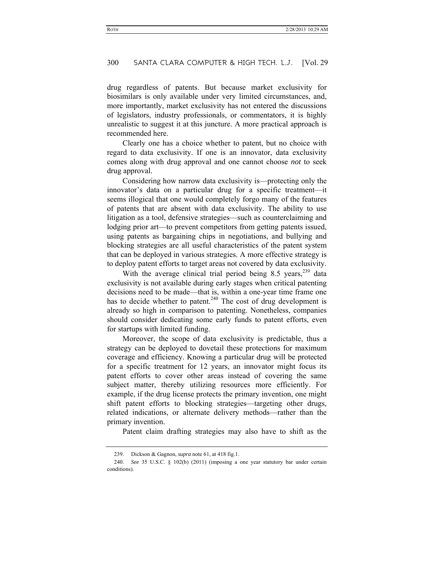drug regardless of patents. But because market exclusivity for biosimilars is only available under very limited circumstances, and, more importantly, market exclusivity has not entered the discussions of legislators, industry professionals, or commentators, it is highly unrealistic to suggest it at this juncture. A more practical approach is recommended here.

Clearly one has a choice whether to patent, but no choice with regard to data exclusivity. If one is an innovator, data exclusivity comes along with drug approval and one cannot choose *not* to seek drug approval.

Considering how narrow data exclusivity is—protecting only the innovator's data on a particular drug for a specific treatment—it seems illogical that one would completely forgo many of the features of patents that are absent with data exclusivity. The ability to use litigation as a tool, defensive strategies—such as counterclaiming and lodging prior art—to prevent competitors from getting patents issued, using patents as bargaining chips in negotiations, and bullying and blocking strategies are all useful characteristics of the patent system that can be deployed in various strategies. A more effective strategy is to deploy patent efforts to target areas not covered by data exclusivity.

With the average clinical trial period being  $8.5$  years,<sup>239</sup> data exclusivity is not available during early stages when critical patenting decisions need to be made—that is, within a one-year time frame one has to decide whether to patent.<sup>240</sup> The cost of drug development is already so high in comparison to patenting. Nonetheless, companies should consider dedicating some early funds to patent efforts, even for startups with limited funding.

Moreover, the scope of data exclusivity is predictable, thus a strategy can be deployed to dovetail these protections for maximum coverage and efficiency. Knowing a particular drug will be protected for a specific treatment for 12 years, an innovator might focus its patent efforts to cover other areas instead of covering the same subject matter, thereby utilizing resources more efficiently. For example, if the drug license protects the primary invention, one might shift patent efforts to blocking strategies—targeting other drugs, related indications, or alternate delivery methods—rather than the primary invention.

Patent claim drafting strategies may also have to shift as the

 <sup>239.</sup> Dickson & Gagnon, *supra* note 61, at 418 fig.1.

 <sup>240.</sup> *See* 35 U.S.C. § 102(b) (2011) (imposing a one year statutory bar under certain conditions).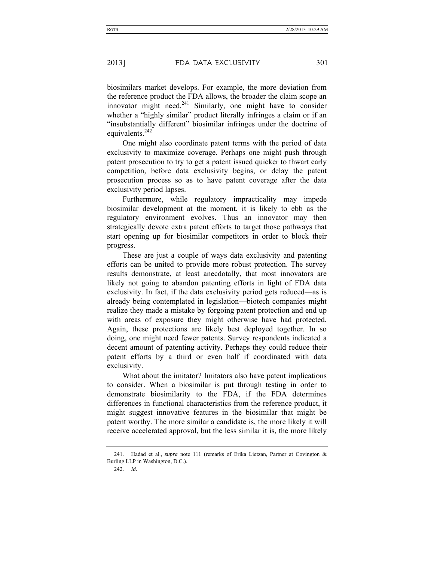biosimilars market develops. For example, the more deviation from the reference product the FDA allows, the broader the claim scope an innovator might need. $241$  Similarly, one might have to consider whether a "highly similar" product literally infringes a claim or if an "insubstantially different" biosimilar infringes under the doctrine of equivalents. $242$ 

One might also coordinate patent terms with the period of data exclusivity to maximize coverage. Perhaps one might push through patent prosecution to try to get a patent issued quicker to thwart early competition, before data exclusivity begins, or delay the patent prosecution process so as to have patent coverage after the data exclusivity period lapses.

Furthermore, while regulatory impracticality may impede biosimilar development at the moment, it is likely to ebb as the regulatory environment evolves. Thus an innovator may then strategically devote extra patent efforts to target those pathways that start opening up for biosimilar competitors in order to block their progress.

These are just a couple of ways data exclusivity and patenting efforts can be united to provide more robust protection. The survey results demonstrate, at least anecdotally, that most innovators are likely not going to abandon patenting efforts in light of FDA data exclusivity. In fact, if the data exclusivity period gets reduced—as is already being contemplated in legislation—biotech companies might realize they made a mistake by forgoing patent protection and end up with areas of exposure they might otherwise have had protected. Again, these protections are likely best deployed together. In so doing, one might need fewer patents. Survey respondents indicated a decent amount of patenting activity. Perhaps they could reduce their patent efforts by a third or even half if coordinated with data exclusivity.

What about the imitator? Imitators also have patent implications to consider. When a biosimilar is put through testing in order to demonstrate biosimilarity to the FDA, if the FDA determines differences in functional characteristics from the reference product, it might suggest innovative features in the biosimilar that might be patent worthy. The more similar a candidate is, the more likely it will receive accelerated approval, but the less similar it is, the more likely

 <sup>241.</sup> Hadad et al., *supra* note 111 (remarks of Erika Lietzan, Partner at Covington & Burling LLP in Washington, D.C.).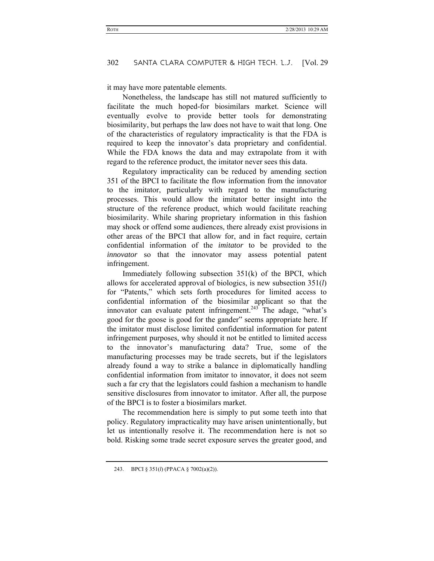it may have more patentable elements.

Nonetheless, the landscape has still not matured sufficiently to facilitate the much hoped-for biosimilars market. Science will eventually evolve to provide better tools for demonstrating biosimilarity, but perhaps the law does not have to wait that long. One of the characteristics of regulatory impracticality is that the FDA is required to keep the innovator's data proprietary and confidential. While the FDA knows the data and may extrapolate from it with regard to the reference product, the imitator never sees this data.

Regulatory impracticality can be reduced by amending section 351 of the BPCI to facilitate the flow information from the innovator to the imitator, particularly with regard to the manufacturing processes. This would allow the imitator better insight into the structure of the reference product, which would facilitate reaching biosimilarity. While sharing proprietary information in this fashion may shock or offend some audiences, there already exist provisions in other areas of the BPCI that allow for, and in fact require, certain confidential information of the *imitator* to be provided to the *innovator* so that the innovator may assess potential patent infringement.

Immediately following subsection 351(k) of the BPCI, which allows for accelerated approval of biologics, is new subsection 351(*l*) for "Patents," which sets forth procedures for limited access to confidential information of the biosimilar applicant so that the innovator can evaluate patent infringement.<sup>243</sup> The adage, "what's good for the goose is good for the gander" seems appropriate here. If the imitator must disclose limited confidential information for patent infringement purposes, why should it not be entitled to limited access to the innovator's manufacturing data? True, some of the manufacturing processes may be trade secrets, but if the legislators already found a way to strike a balance in diplomatically handling confidential information from imitator to innovator, it does not seem such a far cry that the legislators could fashion a mechanism to handle sensitive disclosures from innovator to imitator. After all, the purpose of the BPCI is to foster a biosimilars market.

The recommendation here is simply to put some teeth into that policy. Regulatory impracticality may have arisen unintentionally, but let us intentionally resolve it. The recommendation here is not so bold. Risking some trade secret exposure serves the greater good, and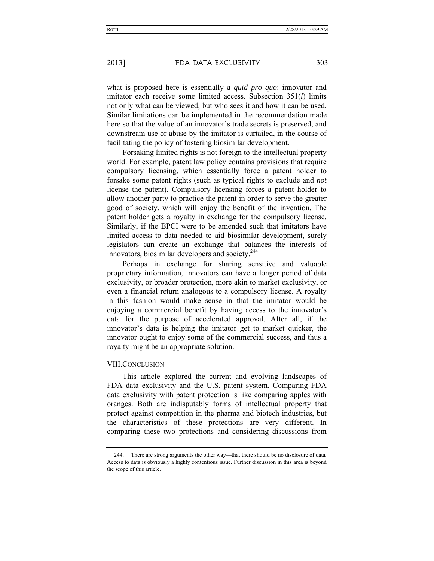what is proposed here is essentially a *quid pro quo*: innovator and imitator each receive some limited access. Subsection 351(*l*) limits not only what can be viewed, but who sees it and how it can be used. Similar limitations can be implemented in the recommendation made here so that the value of an innovator's trade secrets is preserved, and downstream use or abuse by the imitator is curtailed, in the course of facilitating the policy of fostering biosimilar development.

Forsaking limited rights is not foreign to the intellectual property world. For example, patent law policy contains provisions that require compulsory licensing, which essentially force a patent holder to forsake some patent rights (such as typical rights to exclude and *not* license the patent). Compulsory licensing forces a patent holder to allow another party to practice the patent in order to serve the greater good of society, which will enjoy the benefit of the invention. The patent holder gets a royalty in exchange for the compulsory license. Similarly, if the BPCI were to be amended such that imitators have limited access to data needed to aid biosimilar development, surely legislators can create an exchange that balances the interests of innovators, biosimilar developers and society.<sup>244</sup>

Perhaps in exchange for sharing sensitive and valuable proprietary information, innovators can have a longer period of data exclusivity, or broader protection, more akin to market exclusivity, or even a financial return analogous to a compulsory license. A royalty in this fashion would make sense in that the imitator would be enjoying a commercial benefit by having access to the innovator's data for the purpose of accelerated approval. After all, if the innovator's data is helping the imitator get to market quicker, the innovator ought to enjoy some of the commercial success, and thus a royalty might be an appropriate solution.

#### VIII.CONCLUSION

This article explored the current and evolving landscapes of FDA data exclusivity and the U.S. patent system. Comparing FDA data exclusivity with patent protection is like comparing apples with oranges. Both are indisputably forms of intellectual property that protect against competition in the pharma and biotech industries, but the characteristics of these protections are very different. In comparing these two protections and considering discussions from

 <sup>244.</sup> There are strong arguments the other way—that there should be no disclosure of data. Access to data is obviously a highly contentious issue. Further discussion in this area is beyond the scope of this article.